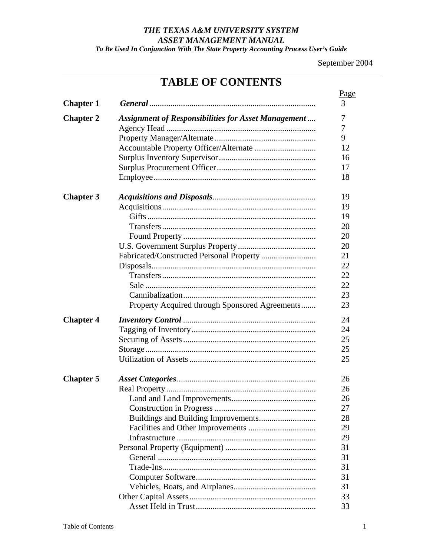*To Be Used In Conjunction With The State Property Accounting Process User's Guide* 

September 2004

# **TABLE OF CONTENTS**

| <b>Chapter 1</b> |                                                            |
|------------------|------------------------------------------------------------|
| <b>Chapter 2</b> | <b>Assignment of Responsibilities for Asset Management</b> |
|                  |                                                            |
|                  |                                                            |
|                  |                                                            |
|                  |                                                            |
|                  |                                                            |
| <b>Chapter 3</b> |                                                            |
|                  |                                                            |
|                  |                                                            |
|                  |                                                            |
|                  |                                                            |
|                  |                                                            |
|                  |                                                            |
|                  |                                                            |
|                  |                                                            |
|                  |                                                            |
|                  |                                                            |
|                  | Property Acquired through Sponsored Agreements             |
| <b>Chapter 4</b> |                                                            |
|                  |                                                            |
|                  |                                                            |
|                  |                                                            |
|                  |                                                            |
| <b>Chapter 5</b> |                                                            |
|                  |                                                            |
|                  |                                                            |
|                  |                                                            |
|                  |                                                            |
|                  |                                                            |
|                  |                                                            |
|                  |                                                            |
|                  |                                                            |
|                  |                                                            |
|                  |                                                            |
|                  |                                                            |
|                  |                                                            |
|                  |                                                            |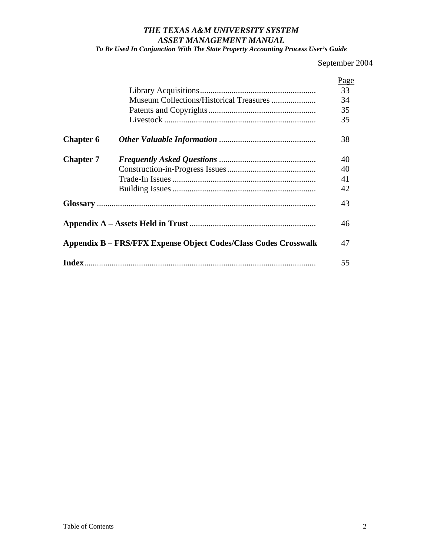*To Be Used In Conjunction With The State Property Accounting Process User's Guide* 

September 2004

|                  |                                                                 | Page |
|------------------|-----------------------------------------------------------------|------|
|                  |                                                                 | 33   |
|                  |                                                                 | 34   |
|                  |                                                                 | 35   |
|                  |                                                                 | 35   |
| <b>Chapter 6</b> |                                                                 | 38   |
| <b>Chapter 7</b> |                                                                 | 40   |
|                  |                                                                 | 40   |
|                  |                                                                 | 41   |
|                  |                                                                 | 42   |
|                  |                                                                 | 43   |
|                  |                                                                 | 46   |
|                  | Appendix B – FRS/FFX Expense Object Codes/Class Codes Crosswalk | 47   |
|                  |                                                                 | 55   |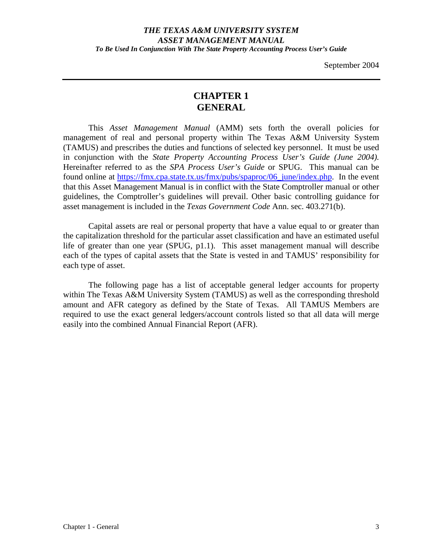## *THE TEXAS A&M UNIVERSITY SYSTEM ASSET MANAGEMENT MANUAL To Be Used In Conjunction With The State Property Accounting Process User's Guide*

September 2004

# **CHAPTER 1 GENERAL**

 This *Asset Management Manual* (AMM) sets forth the overall policies for management of real and personal property within The Texas A&M University System (TAMUS) and prescribes the duties and functions of selected key personnel. It must be used in conjunction with the *State Property Accounting Process User's Guide (June 2004).*  Hereinafter referred to as the *SPA Process User's Guide* or SPUG. This manual can be found online at [https://fmx.cpa.state.tx.us/fmx/pubs/spaproc/06\\_june/index.php.](https://fmx.cpa.state.tx.us/fmx/pubs/spaproc/06_june/index.php) In the event that this Asset Management Manual is in conflict with the State Comptroller manual or other guidelines, the Comptroller's guidelines will prevail. Other basic controlling guidance for asset management is included in the *Texas Government Code* Ann. sec. 403.271(b).

 Capital assets are real or personal property that have a value equal to or greater than the capitalization threshold for the particular asset classification and have an estimated useful life of greater than one year (SPUG, p1.1). This asset management manual will describe each of the types of capital assets that the State is vested in and TAMUS' responsibility for each type of asset.

The following page has a list of acceptable general ledger accounts for property within The Texas A&M University System (TAMUS) as well as the corresponding threshold amount and AFR category as defined by the State of Texas. All TAMUS Members are required to use the exact general ledgers/account controls listed so that all data will merge easily into the combined Annual Financial Report (AFR).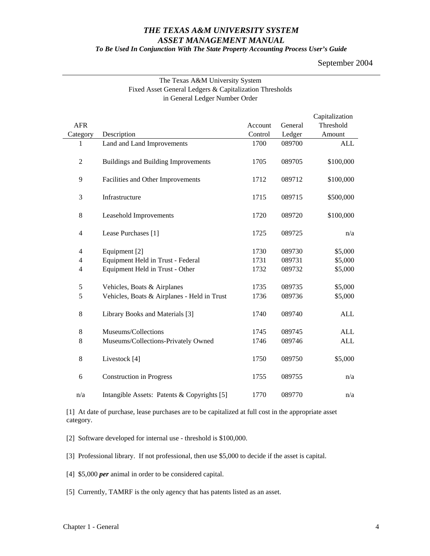*To Be Used In Conjunction With The State Property Accounting Process User's Guide* 

September 2004

|                |                                             |         |         | Capitalization |
|----------------|---------------------------------------------|---------|---------|----------------|
| <b>AFR</b>     |                                             | Account | General | Threshold      |
| Category       | Description                                 | Control | Ledger  | Amount         |
| 1              | Land and Land Improvements                  | 1700    | 089700  | <b>ALL</b>     |
| $\overline{2}$ | <b>Buildings and Building Improvements</b>  | 1705    | 089705  | \$100,000      |
| 9              | Facilities and Other Improvements           | 1712    | 089712  | \$100,000      |
| 3              | Infrastructure                              | 1715    | 089715  | \$500,000      |
| $8\,$          | Leasehold Improvements                      | 1720    | 089720  | \$100,000      |
| $\overline{4}$ | Lease Purchases [1]                         | 1725    | 089725  | n/a            |
| 4              | Equipment [2]                               | 1730    | 089730  | \$5,000        |
| 4              | Equipment Held in Trust - Federal           | 1731    | 089731  | \$5,000        |
| $\overline{4}$ | Equipment Held in Trust - Other             | 1732    | 089732  | \$5,000        |
| $\mathfrak s$  | Vehicles, Boats & Airplanes                 | 1735    | 089735  | \$5,000        |
| 5              | Vehicles, Boats & Airplanes - Held in Trust | 1736    | 089736  | \$5,000        |
| $8\,$          | Library Books and Materials [3]             | 1740    | 089740  | <b>ALL</b>     |
| 8              | Museums/Collections                         | 1745    | 089745  | <b>ALL</b>     |
| 8              | Museums/Collections-Privately Owned         | 1746    | 089746  | <b>ALL</b>     |
| $8\,$          | Livestock [4]                               | 1750    | 089750  | \$5,000        |
| 6              | <b>Construction in Progress</b>             | 1755    | 089755  | n/a            |
| n/a            | Intangible Assets: Patents & Copyrights [5] | 1770    | 089770  | n/a            |

#### The Texas A&M University System Fixed Asset General Ledgers & Capitalization Thresholds in General Ledger Number Order

[1] At date of purchase, lease purchases are to be capitalized at full cost in the appropriate asset category.

[2] Software developed for internal use - threshold is \$100,000.

[3] Professional library. If not professional, then use \$5,000 to decide if the asset is capital.

[4] \$5,000 *per* animal in order to be considered capital.

[5] Currently, TAMRF is the only agency that has patents listed as an asset.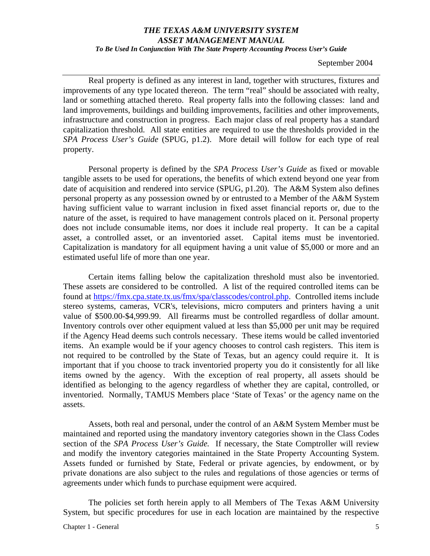*To Be Used In Conjunction With The State Property Accounting Process User's Guide* 

September 2004

 Real property is defined as any interest in land, together with structures, fixtures and improvements of any type located thereon. The term "real" should be associated with realty, land or something attached thereto. Real property falls into the following classes: land and land improvements, buildings and building improvements, facilities and other improvements, infrastructure and construction in progress. Each major class of real property has a standard capitalization threshold. All state entities are required to use the thresholds provided in the *SPA Process User's Guide* (SPUG, p1.2). More detail will follow for each type of real property.

Personal property is defined by the *SPA Process User's Guide* as fixed or movable tangible assets to be used for operations, the benefits of which extend beyond one year from date of acquisition and rendered into service (SPUG, p1.20). The A&M System also defines personal property as any possession owned by or entrusted to a Member of the A&M System having sufficient value to warrant inclusion in fixed asset financial reports or, due to the nature of the asset, is required to have management controls placed on it. Personal property does not include consumable items, nor does it include real property. It can be a capital asset, a controlled asset, or an inventoried asset. Capital items must be inventoried. Capitalization is mandatory for all equipment having a unit value of \$5,000 or more and an estimated useful life of more than one year.

Certain items falling below the capitalization threshold must also be inventoried. These assets are considered to be controlled. A list of the required controlled items can be found at <https://fmx.cpa.state.tx.us/fmx/spa/classcodes/control.php>. Controlled items include stereo systems, cameras, VCR's, televisions, micro computers and printers having a unit value of \$500.00-\$4,999.99. All firearms must be controlled regardless of dollar amount. Inventory controls over other equipment valued at less than \$5,000 per unit may be required if the Agency Head deems such controls necessary. These items would be called inventoried items. An example would be if your agency chooses to control cash registers. This item is not required to be controlled by the State of Texas, but an agency could require it. It is important that if you choose to track inventoried property you do it consistently for all like items owned by the agency. With the exception of real property, all assets should be identified as belonging to the agency regardless of whether they are capital, controlled, or inventoried. Normally, TAMUS Members place 'State of Texas' or the agency name on the assets.

Assets, both real and personal, under the control of an A&M System Member must be maintained and reported using the mandatory inventory categories shown in the Class Codes section of the *SPA Process User's Guide.* If necessary, the State Comptroller will review and modify the inventory categories maintained in the State Property Accounting System. Assets funded or furnished by State, Federal or private agencies, by endowment, or by private donations are also subject to the rules and regulations of those agencies or terms of agreements under which funds to purchase equipment were acquired.

The policies set forth herein apply to all Members of The Texas A&M University System, but specific procedures for use in each location are maintained by the respective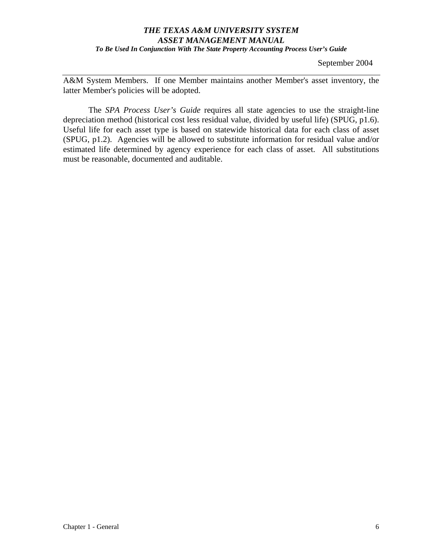*To Be Used In Conjunction With The State Property Accounting Process User's Guide* 

September 2004

A&M System Members. If one Member maintains another Member's asset inventory, the latter Member's policies will be adopted.

The *SPA Process User's Guide* requires all state agencies to use the straight-line depreciation method (historical cost less residual value, divided by useful life) (SPUG, p1.6). Useful life for each asset type is based on statewide historical data for each class of asset (SPUG, p1.2). Agencies will be allowed to substitute information for residual value and/or estimated life determined by agency experience for each class of asset. All substitutions must be reasonable, documented and auditable.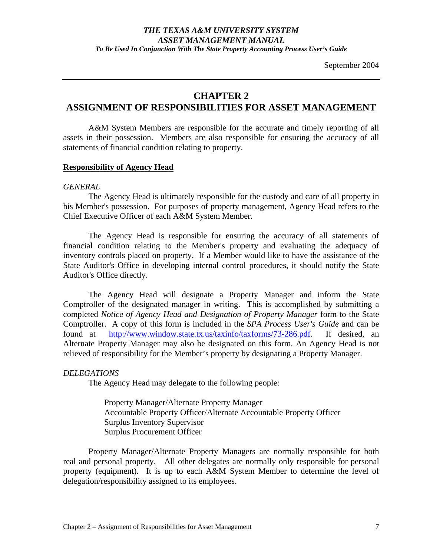*To Be Used In Conjunction With The State Property Accounting Process User's Guide* 

September 2004

# **CHAPTER 2**

# **ASSIGNMENT OF RESPONSIBILITIES FOR ASSET MANAGEMENT**

A&M System Members are responsible for the accurate and timely reporting of all assets in their possession. Members are also responsible for ensuring the accuracy of all statements of financial condition relating to property.

## **Responsibility of Agency Head**

#### *GENERAL*

 The Agency Head is ultimately responsible for the custody and care of all property in his Member's possession. For purposes of property management, Agency Head refers to the Chief Executive Officer of each A&M System Member.

The Agency Head is responsible for ensuring the accuracy of all statements of financial condition relating to the Member's property and evaluating the adequacy of inventory controls placed on property. If a Member would like to have the assistance of the State Auditor's Office in developing internal control procedures, it should notify the State Auditor's Office directly.

The Agency Head will designate a Property Manager and inform the State Comptroller of the designated manager in writing. This is accomplished by submitting a completed *Notice of Agency Head and Designation of Property Manager* form to the State Comptroller. A copy of this form is included in the *SPA Process User's Guide* and can be found at http://www.window.state.tx.us/taxinfo[/taxforms/](http://www.window.state.tx.us/taxinfo/taxforms/73-286.pdf)73-286.pdf. If desired, an Alternate Property Manager may also be designated on this form. An Agency Head is not relieved of responsibility for the Member's property by designating a Property Manager.

## *DELEGATIONS*

The Agency Head may delegate to the following people:

Property Manager/Alternate Property Manager Accountable Property Officer/Alternate Accountable Property Officer Surplus Inventory Supervisor Surplus Procurement Officer

Property Manager/Alternate Property Managers are normally responsible for both real and personal property. All other delegates are normally only responsible for personal property (equipment). It is up to each A&M System Member to determine the level of delegation/responsibility assigned to its employees.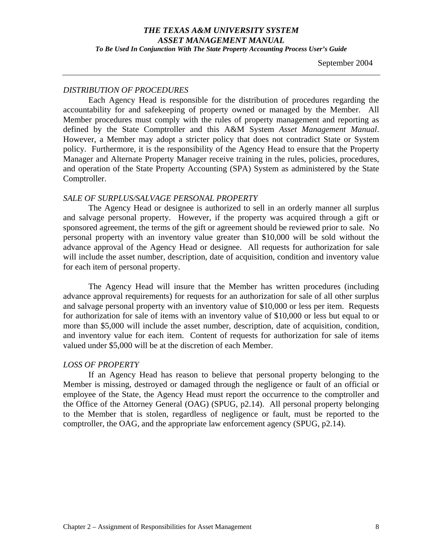*To Be Used In Conjunction With The State Property Accounting Process User's Guide* 

September 2004

## *DISTRIBUTION OF PROCEDURES*

Each Agency Head is responsible for the distribution of procedures regarding the accountability for and safekeeping of property owned or managed by the Member. All Member procedures must comply with the rules of property management and reporting as defined by the State Comptroller and this A&M System *Asset Management Manual*. However, a Member may adopt a stricter policy that does not contradict State or System policy. Furthermore, it is the responsibility of the Agency Head to ensure that the Property Manager and Alternate Property Manager receive training in the rules, policies, procedures, and operation of the State Property Accounting (SPA) System as administered by the State Comptroller.

#### *SALE OF SURPLUS/SALVAGE PERSONAL PROPERTY*

The Agency Head or designee is authorized to sell in an orderly manner all surplus and salvage personal property. However, if the property was acquired through a gift or sponsored agreement, the terms of the gift or agreement should be reviewed prior to sale. No personal property with an inventory value greater than \$10,000 will be sold without the advance approval of the Agency Head or designee. All requests for authorization for sale will include the asset number, description, date of acquisition, condition and inventory value for each item of personal property.

The Agency Head will insure that the Member has written procedures (including advance approval requirements) for requests for an authorization for sale of all other surplus and salvage personal property with an inventory value of \$10,000 or less per item. Requests for authorization for sale of items with an inventory value of \$10,000 or less but equal to or more than \$5,000 will include the asset number, description, date of acquisition, condition, and inventory value for each item. Content of requests for authorization for sale of items valued under \$5,000 will be at the discretion of each Member.

## *LOSS OF PROPERTY*

If an Agency Head has reason to believe that personal property belonging to the Member is missing, destroyed or damaged through the negligence or fault of an official or employee of the State, the Agency Head must report the occurrence to the comptroller and the Office of the Attorney General (OAG) (SPUG, p2.14). All personal property belonging to the Member that is stolen, regardless of negligence or fault, must be reported to the comptroller, the OAG, and the appropriate law enforcement agency (SPUG, p2.14).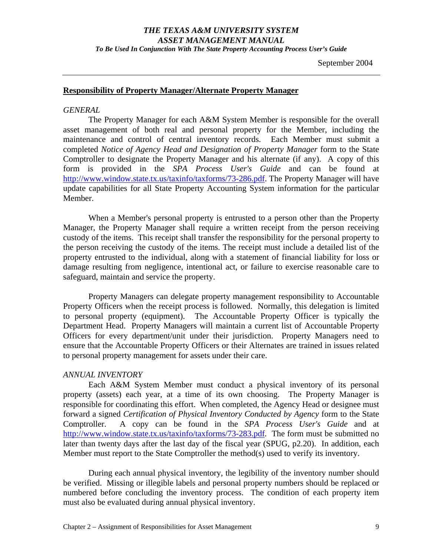*To Be Used In Conjunction With The State Property Accounting Process User's Guide* 

September 2004

#### **Responsibility of Property Manager/Alternate Property Manager**

#### *GENERAL*

The Property Manager for each A&M System Member is responsible for the overall asset management of both real and personal property for the Member, including the maintenance and control of central inventory records. Each Member must submit a completed *Notice of Agency Head and Designation of Property Manager* form to the State Comptroller to designate the Property Manager and his alternate (if any). A copy of this form is provided in the *SPA Process User's Guide* and can be found at http://www.window.state.tx.us/taxinfo/taxforms/73-286.pdf. The Property Manager will have update capabilities for all State Property Accounting System information for the particular Member.

When a Member's personal property is entrusted to a person other than the Property Manager, the Property Manager shall require a written receipt from the person receiving custody of the items. This receipt shall transfer the responsibility for the personal property to the person receiving the custody of the items. The receipt must include a detailed list of the property entrusted to the individual, along with a statement of financial liability for loss or damage resulting from negligence, intentional act, or failure to exercise reasonable care to safeguard, maintain and service the property.

Property Managers can delegate property management responsibility to Accountable Property Officers when the receipt process is followed. Normally, this delegation is limited to personal property (equipment). The Accountable Property Officer is typically the Department Head. Property Managers will maintain a current list of Accountable Property Officers for every department/unit under their jurisdiction. Property Managers need to ensure that the Accountable Property Officers or their Alternates are trained in issues related to personal property management for assets under their care.

## *ANNUAL INVENTORY*

Each A&M System Member must conduct a physical inventory of its personal property (assets) each year, at a time of its own choosing. The Property Manager is responsible for coordinating this effort. When completed, the Agency Head or designee must forward a signed *Certification of Physical Inventory Conducted by Agency* form to the State Comptroller. A copy can be found in the *SPA Process User's Guide* and at http://www.window.state.tx.us/taxinfo/taxforms/73-283.pdf*.* The form must be submitted no later than twenty days after the last day of the fiscal year (SPUG, p2.20). In addition, each Member must report to the State Comptroller the method(s) used to verify its inventory.

During each annual physical inventory, the legibility of the inventory number should be verified. Missing or illegible labels and personal property numbers should be replaced or numbered before concluding the inventory process. The condition of each property item must also be evaluated during annual physical inventory.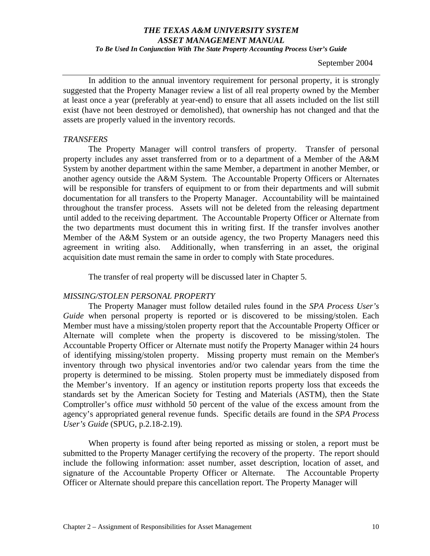*To Be Used In Conjunction With The State Property Accounting Process User's Guide* 

September 2004

In addition to the annual inventory requirement for personal property, it is strongly suggested that the Property Manager review a list of all real property owned by the Member at least once a year (preferably at year-end) to ensure that all assets included on the list still exist (have not been destroyed or demolished), that ownership has not changed and that the assets are properly valued in the inventory records.

#### *TRANSFERS*

The Property Manager will control transfers of property. Transfer of personal property includes any asset transferred from or to a department of a Member of the A&M System by another department within the same Member, a department in another Member, or another agency outside the A&M System. The Accountable Property Officers or Alternates will be responsible for transfers of equipment to or from their departments and will submit documentation for all transfers to the Property Manager. Accountability will be maintained throughout the transfer process. Assets will not be deleted from the releasing department until added to the receiving department. The Accountable Property Officer or Alternate from the two departments must document this in writing first. If the transfer involves another Member of the A&M System or an outside agency, the two Property Managers need this agreement in writing also. Additionally, when transferring in an asset, the original acquisition date must remain the same in order to comply with State procedures.

The transfer of real property will be discussed later in Chapter 5.

## *MISSING/STOLEN PERSONAL PROPERTY*

The Property Manager must follow detailed rules found in the *SPA Process User's Guide* when personal property is reported or is discovered to be missing/stolen. Each Member must have a missing/stolen property report that the Accountable Property Officer or Alternate will complete when the property is discovered to be missing/stolen. The Accountable Property Officer or Alternate must notify the Property Manager within 24 hours of identifying missing/stolen property. Missing property must remain on the Member's inventory through two physical inventories and/or two calendar years from the time the property is determined to be missing. Stolen property must be immediately disposed from the Member's inventory. If an agency or institution reports property loss that exceeds the standards set by the American Society for Testing and Materials (ASTM), then the State Comptroller's office *must* withhold 50 percent of the value of the excess amount from the agency's appropriated general revenue funds. Specific details are found in the *SPA Process User's Guide* (SPUG, p.2.18-2.19)*.* 

When property is found after being reported as missing or stolen, a report must be submitted to the Property Manager certifying the recovery of the property. The report should include the following information: asset number, asset description, location of asset, and signature of the Accountable Property Officer or Alternate. The Accountable Property Officer or Alternate should prepare this cancellation report. The Property Manager will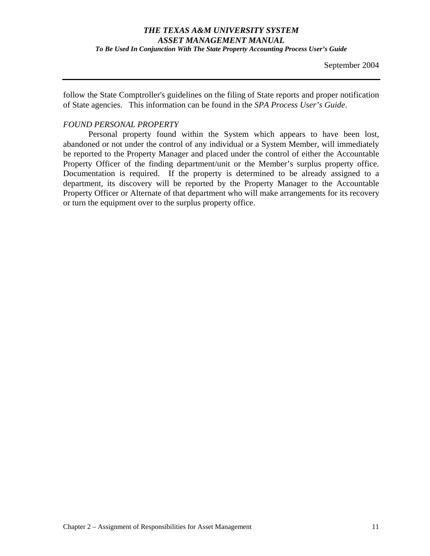*To Be Used In Conjunction With The State Property Accounting Process User's Guide* 

follow the State Comptroller's guidelines on the filing of State reports and proper notification of State agencies. This information can be found in the *SPA Process User's Guide*.

## *FOUND PERSONAL PROPERTY*

Personal property found within the System which appears to have been lost, abandoned or not under the control of any individual or a System Member, will immediately be reported to the Property Manager and placed under the control of either the Accountable Property Officer of the finding department/unit or the Member's surplus property office. Documentation is required. If the property is determined to be already assigned to a department, its discovery will be reported by the Property Manager to the Accountable Property Officer or Alternate of that department who will make arrangements for its recovery or turn the equipment over to the surplus property office.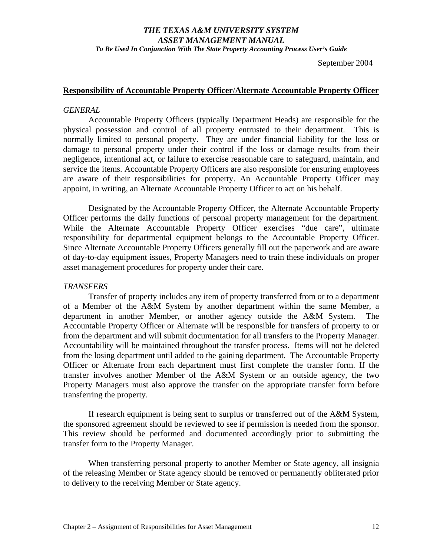*To Be Used In Conjunction With The State Property Accounting Process User's Guide* 

September 2004

#### **Responsibility of Accountable Property Officer**/**Alternate Accountable Property Officer**

#### *GENERAL*

Accountable Property Officers (typically Department Heads) are responsible for the physical possession and control of all property entrusted to their department. This is normally limited to personal property. They are under financial liability for the loss or damage to personal property under their control if the loss or damage results from their negligence, intentional act, or failure to exercise reasonable care to safeguard, maintain, and service the items. Accountable Property Officers are also responsible for ensuring employees are aware of their responsibilities for property. An Accountable Property Officer may appoint, in writing, an Alternate Accountable Property Officer to act on his behalf.

Designated by the Accountable Property Officer, the Alternate Accountable Property Officer performs the daily functions of personal property management for the department. While the Alternate Accountable Property Officer exercises "due care", ultimate responsibility for departmental equipment belongs to the Accountable Property Officer. Since Alternate Accountable Property Officers generally fill out the paperwork and are aware of day-to-day equipment issues, Property Managers need to train these individuals on proper asset management procedures for property under their care.

#### *TRANSFERS*

Transfer of property includes any item of property transferred from or to a department of a Member of the A&M System by another department within the same Member, a department in another Member, or another agency outside the A&M System. The Accountable Property Officer or Alternate will be responsible for transfers of property to or from the department and will submit documentation for all transfers to the Property Manager. Accountability will be maintained throughout the transfer process. Items will not be deleted from the losing department until added to the gaining department. The Accountable Property Officer or Alternate from each department must first complete the transfer form. If the transfer involves another Member of the A&M System or an outside agency, the two Property Managers must also approve the transfer on the appropriate transfer form before transferring the property.

If research equipment is being sent to surplus or transferred out of the A&M System, the sponsored agreement should be reviewed to see if permission is needed from the sponsor. This review should be performed and documented accordingly prior to submitting the transfer form to the Property Manager.

When transferring personal property to another Member or State agency, all insignia of the releasing Member or State agency should be removed or permanently obliterated prior to delivery to the receiving Member or State agency.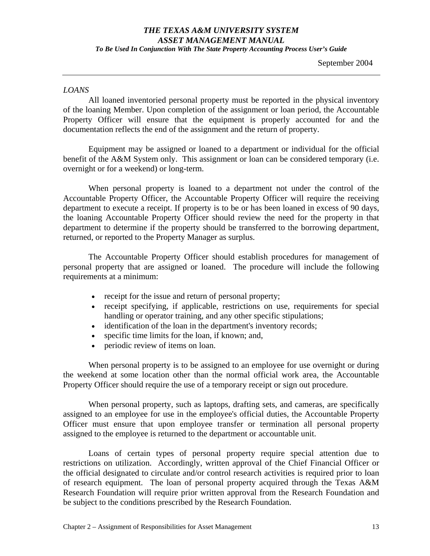*To Be Used In Conjunction With The State Property Accounting Process User's Guide* 

#### *LOANS*

All loaned inventoried personal property must be reported in the physical inventory of the loaning Member. Upon completion of the assignment or loan period, the Accountable Property Officer will ensure that the equipment is properly accounted for and the documentation reflects the end of the assignment and the return of property.

Equipment may be assigned or loaned to a department or individual for the official benefit of the A&M System only. This assignment or loan can be considered temporary (i.e. overnight or for a weekend) or long-term.

When personal property is loaned to a department not under the control of the Accountable Property Officer, the Accountable Property Officer will require the receiving department to execute a receipt. If property is to be or has been loaned in excess of 90 days, the loaning Accountable Property Officer should review the need for the property in that department to determine if the property should be transferred to the borrowing department, returned, or reported to the Property Manager as surplus.

The Accountable Property Officer should establish procedures for management of personal property that are assigned or loaned. The procedure will include the following requirements at a minimum:

- receipt for the issue and return of personal property;
- receipt specifying, if applicable, restrictions on use, requirements for special handling or operator training, and any other specific stipulations;
- identification of the loan in the department's inventory records;
- specific time limits for the loan, if known; and,
- periodic review of items on loan.

When personal property is to be assigned to an employee for use overnight or during the weekend at some location other than the normal official work area, the Accountable Property Officer should require the use of a temporary receipt or sign out procedure.

 When personal property, such as laptops, drafting sets, and cameras, are specifically assigned to an employee for use in the employee's official duties, the Accountable Property Officer must ensure that upon employee transfer or termination all personal property assigned to the employee is returned to the department or accountable unit.

Loans of certain types of personal property require special attention due to restrictions on utilization. Accordingly, written approval of the Chief Financial Officer or the official designated to circulate and/or control research activities is required prior to loan of research equipment. The loan of personal property acquired through the Texas A&M Research Foundation will require prior written approval from the Research Foundation and be subject to the conditions prescribed by the Research Foundation.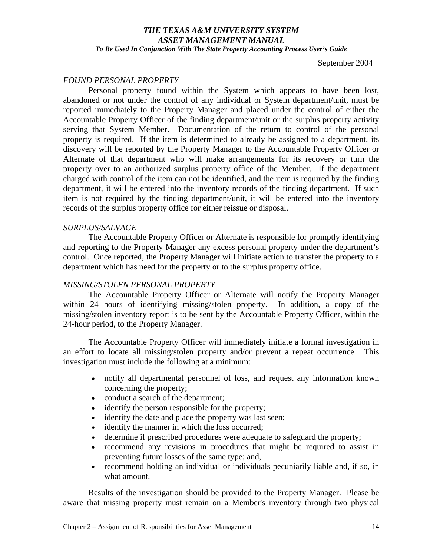*To Be Used In Conjunction With The State Property Accounting Process User's Guide* 

September 2004

#### *FOUND PERSONAL PROPERTY*

Personal property found within the System which appears to have been lost, abandoned or not under the control of any individual or System department/unit, must be reported immediately to the Property Manager and placed under the control of either the Accountable Property Officer of the finding department/unit or the surplus property activity serving that System Member. Documentation of the return to control of the personal property is required. If the item is determined to already be assigned to a department, its discovery will be reported by the Property Manager to the Accountable Property Officer or Alternate of that department who will make arrangements for its recovery or turn the property over to an authorized surplus property office of the Member. If the department charged with control of the item can not be identified, and the item is required by the finding department, it will be entered into the inventory records of the finding department. If such item is not required by the finding department/unit, it will be entered into the inventory records of the surplus property office for either reissue or disposal.

#### *SURPLUS/SALVAGE*

The Accountable Property Officer or Alternate is responsible for promptly identifying and reporting to the Property Manager any excess personal property under the department's control. Once reported, the Property Manager will initiate action to transfer the property to a department which has need for the property or to the surplus property office.

## *MISSING/STOLEN PERSONAL PROPERTY*

The Accountable Property Officer or Alternate will notify the Property Manager within 24 hours of identifying missing/stolen property. In addition, a copy of the missing/stolen inventory report is to be sent by the Accountable Property Officer, within the 24-hour period, to the Property Manager.

The Accountable Property Officer will immediately initiate a formal investigation in an effort to locate all missing/stolen property and/or prevent a repeat occurrence. This investigation must include the following at a minimum:

- notify all departmental personnel of loss, and request any information known concerning the property;
- conduct a search of the department;
- identify the person responsible for the property;
- identify the date and place the property was last seen;
- identify the manner in which the loss occurred;
- determine if prescribed procedures were adequate to safeguard the property;
- recommend any revisions in procedures that might be required to assist in preventing future losses of the same type; and,
- recommend holding an individual or individuals pecuniarily liable and, if so, in what amount.

Results of the investigation should be provided to the Property Manager. Please be aware that missing property must remain on a Member's inventory through two physical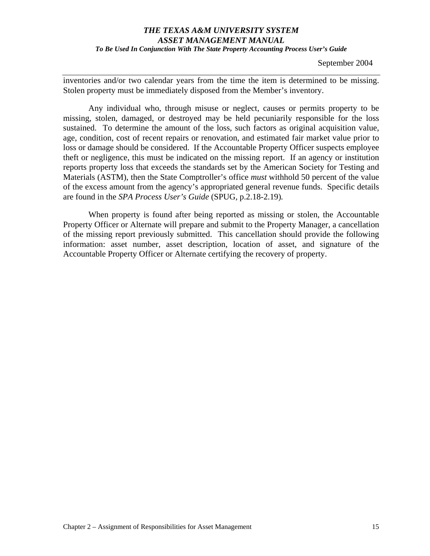*To Be Used In Conjunction With The State Property Accounting Process User's Guide* 

September 2004

inventories and/or two calendar years from the time the item is determined to be missing. Stolen property must be immediately disposed from the Member's inventory.

Any individual who, through misuse or neglect, causes or permits property to be missing, stolen, damaged, or destroyed may be held pecuniarily responsible for the loss sustained. To determine the amount of the loss, such factors as original acquisition value, age, condition, cost of recent repairs or renovation, and estimated fair market value prior to loss or damage should be considered. If the Accountable Property Officer suspects employee theft or negligence, this must be indicated on the missing report. If an agency or institution reports property loss that exceeds the standards set by the American Society for Testing and Materials (ASTM), then the State Comptroller's office *must* withhold 50 percent of the value of the excess amount from the agency's appropriated general revenue funds. Specific details are found in the *SPA Process User's Guide* (SPUG, p.2.18-2.19)*.*

When property is found after being reported as missing or stolen, the Accountable Property Officer or Alternate will prepare and submit to the Property Manager, a cancellation of the missing report previously submitted. This cancellation should provide the following information: asset number, asset description, location of asset, and signature of the Accountable Property Officer or Alternate certifying the recovery of property.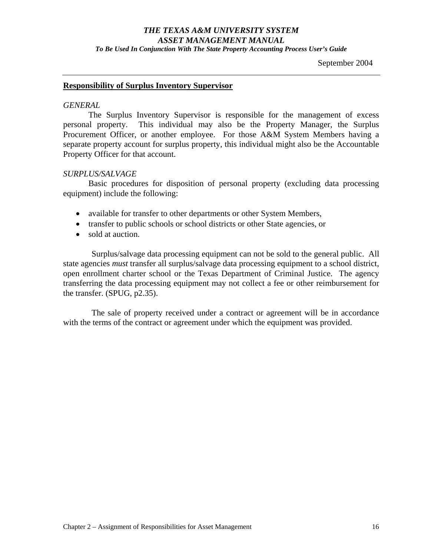*To Be Used In Conjunction With The State Property Accounting Process User's Guide* 

September 2004

#### **Responsibility of Surplus Inventory Supervisor**

#### *GENERAL*

The Surplus Inventory Supervisor is responsible for the management of excess personal property. This individual may also be the Property Manager, the Surplus Procurement Officer, or another employee. For those A&M System Members having a separate property account for surplus property, this individual might also be the Accountable Property Officer for that account.

#### *SURPLUS/SALVAGE*

Basic procedures for disposition of personal property (excluding data processing equipment) include the following:

- available for transfer to other departments or other System Members,
- transfer to public schools or school districts or other State agencies, or
- sold at auction.

 Surplus/salvage data processing equipment can not be sold to the general public. All state agencies *must* transfer all surplus/salvage data processing equipment to a school district, open enrollment charter school or the Texas Department of Criminal Justice. The agency transferring the data processing equipment may not collect a fee or other reimbursement for the transfer. (SPUG, p2.35).

 The sale of property received under a contract or agreement will be in accordance with the terms of the contract or agreement under which the equipment was provided.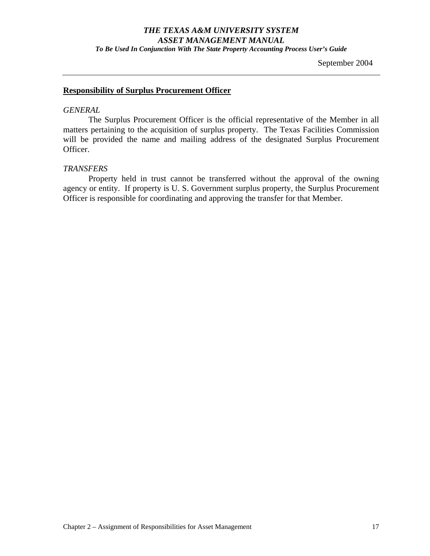*To Be Used In Conjunction With The State Property Accounting Process User's Guide* 

September 2004

## **Responsibility of Surplus Procurement Officer**

#### *GENERAL*

The Surplus Procurement Officer is the official representative of the Member in all matters pertaining to the acquisition of surplus property. The Texas Facilities Commission will be provided the name and mailing address of the designated Surplus Procurement Officer.

#### *TRANSFERS*

Property held in trust cannot be transferred without the approval of the owning agency or entity. If property is U. S. Government surplus property, the Surplus Procurement Officer is responsible for coordinating and approving the transfer for that Member.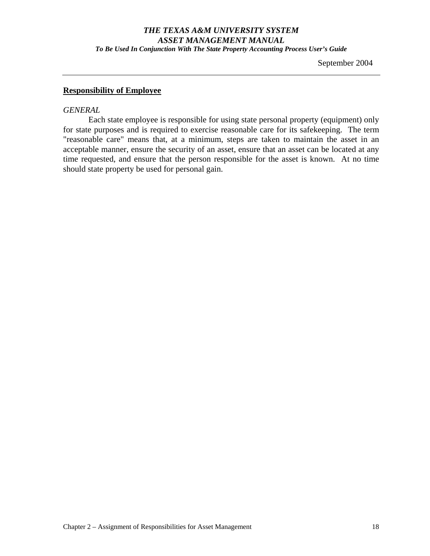*To Be Used In Conjunction With The State Property Accounting Process User's Guide* 

September 2004

## **Responsibility of Employee**

#### *GENERAL*

Each state employee is responsible for using state personal property (equipment) only for state purposes and is required to exercise reasonable care for its safekeeping. The term "reasonable care" means that, at a minimum, steps are taken to maintain the asset in an acceptable manner, ensure the security of an asset, ensure that an asset can be located at any time requested, and ensure that the person responsible for the asset is known. At no time should state property be used for personal gain.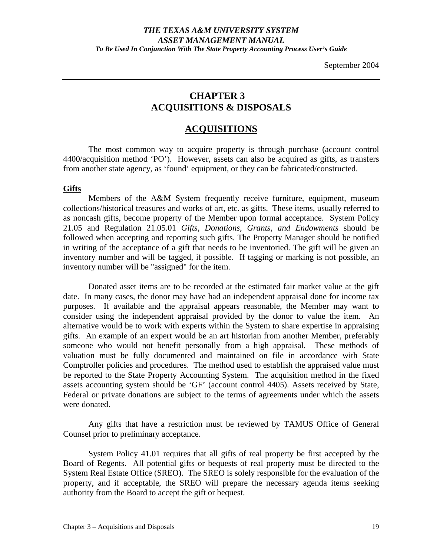## *THE TEXAS A&M UNIVERSITY SYSTEM ASSET MANAGEMENT MANUAL To Be Used In Conjunction With The State Property Accounting Process User's Guide*

# **CHAPTER 3 ACQUISITIONS & DISPOSALS**

# **ACQUISITIONS**

 The most common way to acquire property is through purchase (account control 4400/acquisition method 'PO'). However, assets can also be acquired as gifts, as transfers from another state agency, as 'found' equipment, or they can be fabricated/constructed.

## **Gifts**

Members of the A&M System frequently receive furniture, equipment, museum collections/historical treasures and works of art, etc. as gifts. These items, usually referred to as noncash gifts, become property of the Member upon formal acceptance. System Policy 21.05 and Regulation 21.05.01 *Gifts, Donations, Grants, and Endowments* should be followed when accepting and reporting such gifts. The Property Manager should be notified in writing of the acceptance of a gift that needs to be inventoried. The gift will be given an inventory number and will be tagged, if possible. If tagging or marking is not possible, an inventory number will be "assigned" for the item.

 Donated asset items are to be recorded at the estimated fair market value at the gift date. In many cases, the donor may have had an independent appraisal done for income tax purposes. If available and the appraisal appears reasonable, the Member may want to consider using the independent appraisal provided by the donor to value the item. An alternative would be to work with experts within the System to share expertise in appraising gifts. An example of an expert would be an art historian from another Member, preferably someone who would not benefit personally from a high appraisal. These methods of valuation must be fully documented and maintained on file in accordance with State Comptroller policies and procedures. The method used to establish the appraised value must be reported to the State Property Accounting System. The acquisition method in the fixed assets accounting system should be 'GF' (account control 4405). Assets received by State, Federal or private donations are subject to the terms of agreements under which the assets were donated.

 Any gifts that have a restriction must be reviewed by TAMUS Office of General Counsel prior to preliminary acceptance.

 System Policy 41.01 requires that all gifts of real property be first accepted by the Board of Regents. All potential gifts or bequests of real property must be directed to the System Real Estate Office (SREO). The SREO is solely responsible for the evaluation of the property, and if acceptable, the SREO will prepare the necessary agenda items seeking authority from the Board to accept the gift or bequest.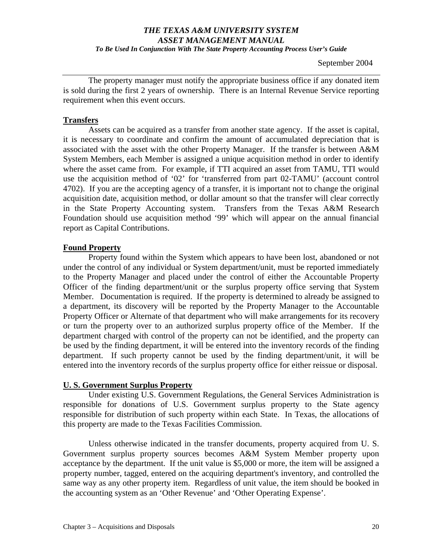*To Be Used In Conjunction With The State Property Accounting Process User's Guide* 

September 2004

 The property manager must notify the appropriate business office if any donated item is sold during the first 2 years of ownership. There is an Internal Revenue Service reporting requirement when this event occurs.

#### **Transfers**

 Assets can be acquired as a transfer from another state agency. If the asset is capital, it is necessary to coordinate and confirm the amount of accumulated depreciation that is associated with the asset with the other Property Manager. If the transfer is between A&M System Members, each Member is assigned a unique acquisition method in order to identify where the asset came from. For example, if TTI acquired an asset from TAMU, TTI would use the acquisition method of '02' for 'transferred from part 02-TAMU' (account control 4702). If you are the accepting agency of a transfer, it is important not to change the original acquisition date, acquisition method, or dollar amount so that the transfer will clear correctly in the State Property Accounting system. Transfers from the Texas A&M Research Foundation should use acquisition method '99' which will appear on the annual financial report as Capital Contributions.

## **Found Property**

Property found within the System which appears to have been lost, abandoned or not under the control of any individual or System department/unit, must be reported immediately to the Property Manager and placed under the control of either the Accountable Property Officer of the finding department/unit or the surplus property office serving that System Member. Documentation is required. If the property is determined to already be assigned to a department, its discovery will be reported by the Property Manager to the Accountable Property Officer or Alternate of that department who will make arrangements for its recovery or turn the property over to an authorized surplus property office of the Member. If the department charged with control of the property can not be identified, and the property can be used by the finding department, it will be entered into the inventory records of the finding department. If such property cannot be used by the finding department/unit, it will be entered into the inventory records of the surplus property office for either reissue or disposal.

## **U. S. Government Surplus Property**

Under existing U.S. Government Regulations, the General Services Administration is responsible for donations of U.S. Government surplus property to the State agency responsible for distribution of such property within each State. In Texas, the allocations of this property are made to the Texas Facilities Commission.

 Unless otherwise indicated in the transfer documents, property acquired from U. S. Government surplus property sources becomes A&M System Member property upon acceptance by the department. If the unit value is \$5,000 or more, the item will be assigned a property number, tagged, entered on the acquiring department's inventory, and controlled the same way as any other property item. Regardless of unit value, the item should be booked in the accounting system as an 'Other Revenue' and 'Other Operating Expense'.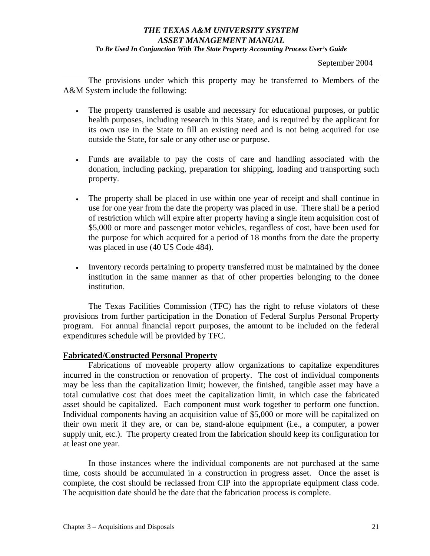#### *To Be Used In Conjunction With The State Property Accounting Process User's Guide*

September 2004

 The provisions under which this property may be transferred to Members of the A&M System include the following:

- The property transferred is usable and necessary for educational purposes, or public health purposes, including research in this State, and is required by the applicant for its own use in the State to fill an existing need and is not being acquired for use outside the State, for sale or any other use or purpose.
- Funds are available to pay the costs of care and handling associated with the donation, including packing, preparation for shipping, loading and transporting such property.
- The property shall be placed in use within one year of receipt and shall continue in use for one year from the date the property was placed in use. There shall be a period of restriction which will expire after property having a single item acquisition cost of \$5,000 or more and passenger motor vehicles, regardless of cost, have been used for the purpose for which acquired for a period of 18 months from the date the property was placed in use (40 US Code 484).
- Inventory records pertaining to property transferred must be maintained by the donee institution in the same manner as that of other properties belonging to the donee institution.

 The Texas Facilities Commission (TFC) has the right to refuse violators of these provisions from further participation in the Donation of Federal Surplus Personal Property program. For annual financial report purposes, the amount to be included on the federal expenditures schedule will be provided by TFC.

## **Fabricated/Constructed Personal Property**

 Fabrications of moveable property allow organizations to capitalize expenditures incurred in the construction or renovation of property. The cost of individual components may be less than the capitalization limit; however, the finished, tangible asset may have a total cumulative cost that does meet the capitalization limit, in which case the fabricated asset should be capitalized. Each component must work together to perform one function. Individual components having an acquisition value of \$5,000 or more will be capitalized on their own merit if they are, or can be, stand-alone equipment (i.e., a computer, a power supply unit, etc.). The property created from the fabrication should keep its configuration for at least one year.

In those instances where the individual components are not purchased at the same time, costs should be accumulated in a construction in progress asset. Once the asset is complete, the cost should be reclassed from CIP into the appropriate equipment class code. The acquisition date should be the date that the fabrication process is complete.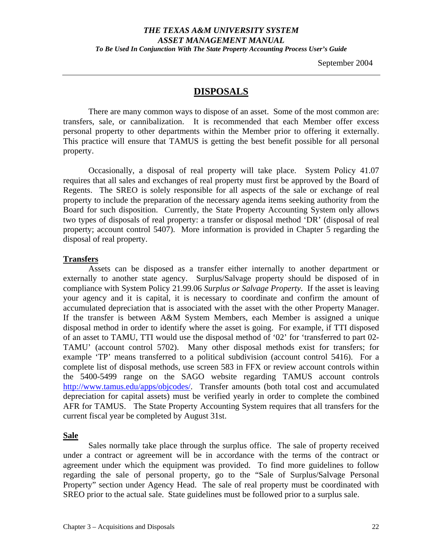*To Be Used In Conjunction With The State Property Accounting Process User's Guide* 

September 2004

# **DISPOSALS**

 There are many common ways to dispose of an asset. Some of the most common are: transfers, sale, or cannibalization. It is recommended that each Member offer excess personal property to other departments within the Member prior to offering it externally. This practice will ensure that TAMUS is getting the best benefit possible for all personal property.

Occasionally, a disposal of real property will take place. System Policy 41.07 requires that all sales and exchanges of real property must first be approved by the Board of Regents. The SREO is solely responsible for all aspects of the sale or exchange of real property to include the preparation of the necessary agenda items seeking authority from the Board for such disposition. Currently, the State Property Accounting System only allows two types of disposals of real property: a transfer or disposal method 'DR' (disposal of real property; account control 5407). More information is provided in Chapter 5 regarding the disposal of real property.

#### **Transfers**

 Assets can be disposed as a transfer either internally to another department or externally to another state agency. Surplus/Salvage property should be disposed of in compliance with System Policy 21.99.06 *Surplus or Salvage Property*. If the asset is leaving your agency and it is capital, it is necessary to coordinate and confirm the amount of accumulated depreciation that is associated with the asset with the other Property Manager. If the transfer is between A&M System Members, each Member is assigned a unique disposal method in order to identify where the asset is going. For example, if TTI disposed of an asset to TAMU, TTI would use the disposal method of '02' for 'transferred to part 02- TAMU' (account control 5702). Many other disposal methods exist for transfers; for example 'TP' means transferred to a political subdivision (account control 5416). For a complete list of disposal methods, use screen 583 in FFX or review account controls within the 5400-5499 range on the SAGO website regarding TAMUS account controls [http://www.tamus.edu/apps/objcodes/.](http://www.tamus.edu/apps/objcodes/) Transfer amounts (both total cost and accumulated depreciation for capital assets) must be verified yearly in order to complete the combined AFR for TAMUS. The State Property Accounting System requires that all transfers for the current fiscal year be completed by August 31st.

## **Sale**

 Sales normally take place through the surplus office. The sale of property received under a contract or agreement will be in accordance with the terms of the contract or agreement under which the equipment was provided. To find more guidelines to follow regarding the sale of personal property, go to the "Sale of Surplus/Salvage Personal Property" section under Agency Head. The sale of real property must be coordinated with SREO prior to the actual sale. State guidelines must be followed prior to a surplus sale.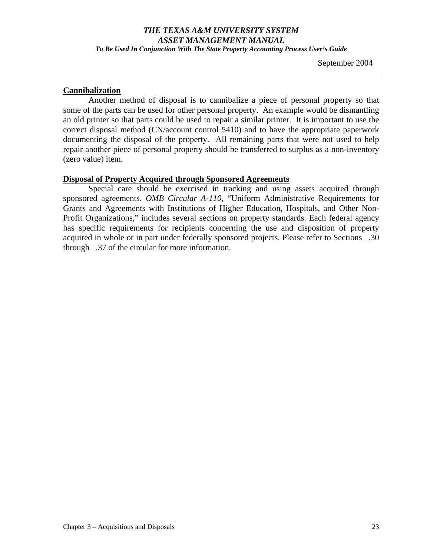*To Be Used In Conjunction With The State Property Accounting Process User's Guide* 

September 2004

#### **Cannibalization**

 Another method of disposal is to cannibalize a piece of personal property so that some of the parts can be used for other personal property. An example would be dismantling an old printer so that parts could be used to repair a similar printer. It is important to use the correct disposal method (CN/account control 5410) and to have the appropriate paperwork documenting the disposal of the property. All remaining parts that were not used to help repair another piece of personal property should be transferred to surplus as a non-inventory (zero value) item.

#### **Disposal of Property Acquired through Sponsored Agreements**

Special care should be exercised in tracking and using assets acquired through sponsored agreements. *OMB Circular A-110*, "Uniform Administrative Requirements for Grants and Agreements with Institutions of Higher Education, Hospitals, and Other Non-Profit Organizations," includes several sections on property standards. Each federal agency has specific requirements for recipients concerning the use and disposition of property acquired in whole or in part under federally sponsored projects. Please refer to Sections \_.30 through \_.37 of the circular for more information.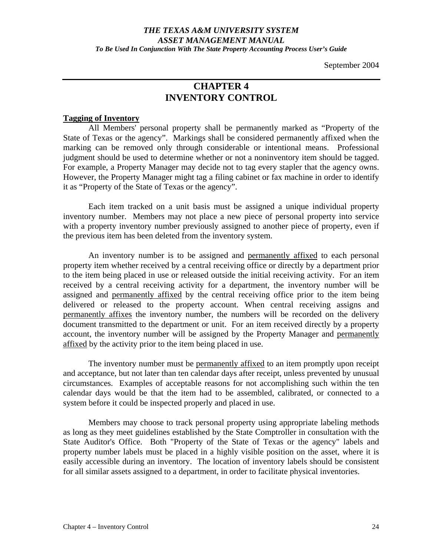## *THE TEXAS A&M UNIVERSITY SYSTEM ASSET MANAGEMENT MANUAL To Be Used In Conjunction With The State Property Accounting Process User's Guide*

September 2004

# **CHAPTER 4 INVENTORY CONTROL**

#### **Tagging of Inventory**

All Members' personal property shall be permanently marked as "Property of the State of Texas or the agency". Markings shall be considered permanently affixed when the marking can be removed only through considerable or intentional means. Professional judgment should be used to determine whether or not a noninventory item should be tagged. For example, a Property Manager may decide not to tag every stapler that the agency owns. However, the Property Manager might tag a filing cabinet or fax machine in order to identify it as "Property of the State of Texas or the agency".

Each item tracked on a unit basis must be assigned a unique individual property inventory number. Members may not place a new piece of personal property into service with a property inventory number previously assigned to another piece of property, even if the previous item has been deleted from the inventory system.

An inventory number is to be assigned and permanently affixed to each personal property item whether received by a central receiving office or directly by a department prior to the item being placed in use or released outside the initial receiving activity. For an item received by a central receiving activity for a department, the inventory number will be assigned and permanently affixed by the central receiving office prior to the item being delivered or released to the property account. When central receiving assigns and permanently affixes the inventory number, the numbers will be recorded on the delivery document transmitted to the department or unit. For an item received directly by a property account, the inventory number will be assigned by the Property Manager and permanently affixed by the activity prior to the item being placed in use.

The inventory number must be permanently affixed to an item promptly upon receipt and acceptance, but not later than ten calendar days after receipt, unless prevented by unusual circumstances. Examples of acceptable reasons for not accomplishing such within the ten calendar days would be that the item had to be assembled, calibrated, or connected to a system before it could be inspected properly and placed in use.

Members may choose to track personal property using appropriate labeling methods as long as they meet guidelines established by the State Comptroller in consultation with the State Auditor's Office. Both "Property of the State of Texas or the agency" labels and property number labels must be placed in a highly visible position on the asset, where it is easily accessible during an inventory. The location of inventory labels should be consistent for all similar assets assigned to a department, in order to facilitate physical inventories.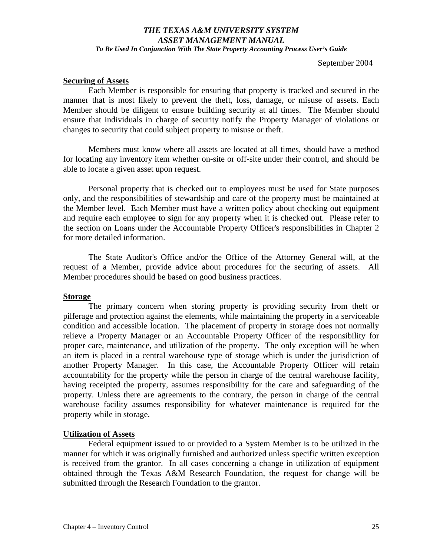*To Be Used In Conjunction With The State Property Accounting Process User's Guide* 

#### **Securing of Assets**

Each Member is responsible for ensuring that property is tracked and secured in the manner that is most likely to prevent the theft, loss, damage, or misuse of assets. Each Member should be diligent to ensure building security at all times. The Member should ensure that individuals in charge of security notify the Property Manager of violations or changes to security that could subject property to misuse or theft.

Members must know where all assets are located at all times, should have a method for locating any inventory item whether on-site or off-site under their control, and should be able to locate a given asset upon request.

Personal property that is checked out to employees must be used for State purposes only, and the responsibilities of stewardship and care of the property must be maintained at the Member level. Each Member must have a written policy about checking out equipment and require each employee to sign for any property when it is checked out. Please refer to the section on Loans under the Accountable Property Officer's responsibilities in Chapter 2 for more detailed information.

The State Auditor's Office and/or the Office of the Attorney General will, at the request of a Member, provide advice about procedures for the securing of assets. All Member procedures should be based on good business practices.

## **Storage**

The primary concern when storing property is providing security from theft or pilferage and protection against the elements, while maintaining the property in a serviceable condition and accessible location. The placement of property in storage does not normally relieve a Property Manager or an Accountable Property Officer of the responsibility for proper care, maintenance, and utilization of the property. The only exception will be when an item is placed in a central warehouse type of storage which is under the jurisdiction of another Property Manager. In this case, the Accountable Property Officer will retain accountability for the property while the person in charge of the central warehouse facility, having receipted the property, assumes responsibility for the care and safeguarding of the property. Unless there are agreements to the contrary, the person in charge of the central warehouse facility assumes responsibility for whatever maintenance is required for the property while in storage.

## **Utilization of Assets**

 Federal equipment issued to or provided to a System Member is to be utilized in the manner for which it was originally furnished and authorized unless specific written exception is received from the grantor. In all cases concerning a change in utilization of equipment obtained through the Texas A&M Research Foundation, the request for change will be submitted through the Research Foundation to the grantor.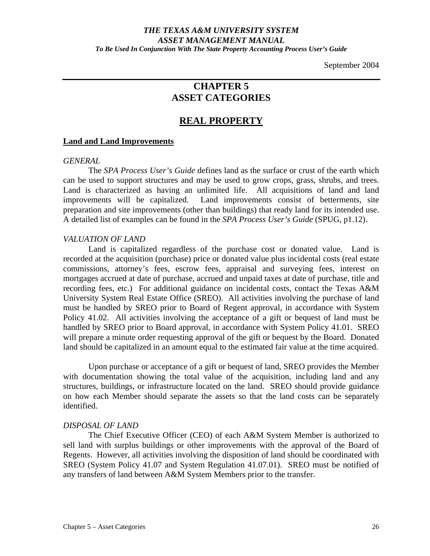## *THE TEXAS A&M UNIVERSITY SYSTEM ASSET MANAGEMENT MANUAL To Be Used In Conjunction With The State Property Accounting Process User's Guide*

September 2004

# **CHAPTER 5 ASSET CATEGORIES**

# **REAL PROPERTY**

#### **Land and Land Improvements**

#### *GENERAL*

The *SPA Process User's Guide* defines land as the surface or crust of the earth which can be used to support structures and may be used to grow crops, grass, shrubs, and trees. Land is characterized as having an unlimited life. All acquisitions of land and land improvements will be capitalized. Land improvements consist of betterments, site preparation and site improvements (other than buildings) that ready land for its intended use. A detailed list of examples can be found in the *SPA Process User's Guide* (SPUG, p1.12).

#### *VALUATION OF LAND*

 Land is capitalized regardless of the purchase cost or donated value. Land is recorded at the acquisition (purchase) price or donated value plus incidental costs (real estate commissions, attorney's fees, escrow fees, appraisal and surveying fees, interest on mortgages accrued at date of purchase, accrued and unpaid taxes at date of purchase, title and recording fees, etc.) For additional guidance on incidental costs, contact the Texas A&M University System Real Estate Office (SREO). All activities involving the purchase of land must be handled by SREO prior to Board of Regent approval, in accordance with System Policy 41.02. All activities involving the acceptance of a gift or bequest of land must be handled by SREO prior to Board approval, in accordance with System Policy 41.01. SREO will prepare a minute order requesting approval of the gift or bequest by the Board. Donated land should be capitalized in an amount equal to the estimated fair value at the time acquired.

Upon purchase or acceptance of a gift or bequest of land, SREO provides the Member with documentation showing the total value of the acquisition, including land and any structures, buildings, or infrastructure located on the land. SREO should provide guidance on how each Member should separate the assets so that the land costs can be separately identified.

#### *DISPOSAL OF LAND*

 The Chief Executive Officer (CEO) of each A&M System Member is authorized to sell land with surplus buildings or other improvements with the approval of the Board of Regents. However, all activities involving the disposition of land should be coordinated with SREO (System Policy 41.07 and System Regulation 41.07.01). SREO must be notified of any transfers of land between A&M System Members prior to the transfer.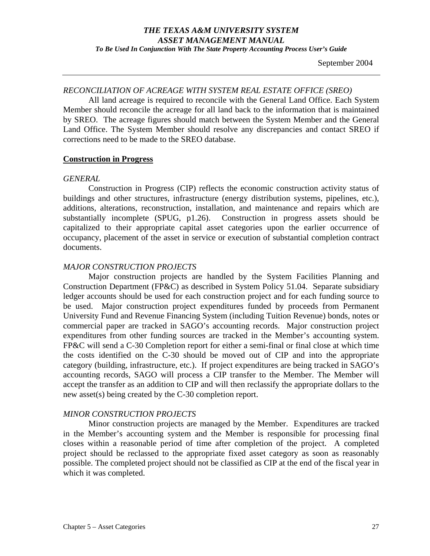*To Be Used In Conjunction With The State Property Accounting Process User's Guide* 

September 2004

## *RECONCILIATION OF ACREAGE WITH SYSTEM REAL ESTATE OFFICE (SREO)*

 All land acreage is required to reconcile with the General Land Office. Each System Member should reconcile the acreage for all land back to the information that is maintained by SREO. The acreage figures should match between the System Member and the General Land Office. The System Member should resolve any discrepancies and contact SREO if corrections need to be made to the SREO database.

## **Construction in Progress**

#### *GENERAL*

 Construction in Progress (CIP) reflects the economic construction activity status of buildings and other structures, infrastructure (energy distribution systems, pipelines, etc.), additions, alterations, reconstruction, installation, and maintenance and repairs which are substantially incomplete (SPUG, p1.26). Construction in progress assets should be capitalized to their appropriate capital asset categories upon the earlier occurrence of occupancy, placement of the asset in service or execution of substantial completion contract documents.

## *MAJOR CONSTRUCTION PROJECTS*

 Major construction projects are handled by the System Facilities Planning and Construction Department (FP&C) as described in System Policy 51.04. Separate subsidiary ledger accounts should be used for each construction project and for each funding source to be used. Major construction project expenditures funded by proceeds from Permanent University Fund and Revenue Financing System (including Tuition Revenue) bonds, notes or commercial paper are tracked in SAGO's accounting records. Major construction project expenditures from other funding sources are tracked in the Member's accounting system. FP&C will send a C-30 Completion report for either a semi-final or final close at which time the costs identified on the C-30 should be moved out of CIP and into the appropriate category (building, infrastructure, etc.). If project expenditures are being tracked in SAGO's accounting records, SAGO will process a CIP transfer to the Member. The Member will accept the transfer as an addition to CIP and will then reclassify the appropriate dollars to the new asset(s) being created by the C-30 completion report.

## *MINOR CONSTRUCTION PROJECTS*

 Minor construction projects are managed by the Member. Expenditures are tracked in the Member's accounting system and the Member is responsible for processing final closes within a reasonable period of time after completion of the project. A completed project should be reclassed to the appropriate fixed asset category as soon as reasonably possible. The completed project should not be classified as CIP at the end of the fiscal year in which it was completed.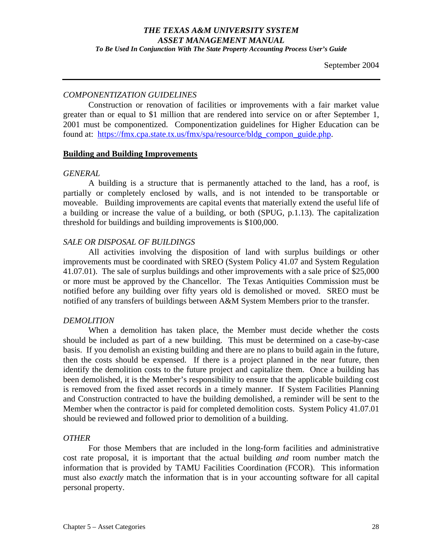*To Be Used In Conjunction With The State Property Accounting Process User's Guide* 

## *COMPONENTIZATION GUIDELINES*

 Construction or renovation of facilities or improvements with a fair market value greater than or equal to \$1 million that are rendered into service on or after September 1, 2001 must be componentized. Componentization guidelines for Higher Education can be found at: [https://fmx.cpa.state.tx.us/fmx/spa/resource/bldg\\_compon\\_guide.php.](https://fmx.cpa.state.tx.us/fmx/spa/resource/bldg_compon_guide.php)

#### **Building and Building Improvements**

## *GENERAL*

 A building is a structure that is permanently attached to the land, has a roof, is partially or completely enclosed by walls, and is not intended to be transportable or moveable. Building improvements are capital events that materially extend the useful life of a building or increase the value of a building, or both (SPUG, p.1.13). The capitalization threshold for buildings and building improvements is \$100,000.

## *SALE OR DISPOSAL OF BUILDINGS*

All activities involving the disposition of land with surplus buildings or other improvements must be coordinated with SREO (System Policy 41.07 and System Regulation 41.07.01). The sale of surplus buildings and other improvements with a sale price of \$25,000 or more must be approved by the Chancellor. The Texas Antiquities Commission must be notified before any building over fifty years old is demolished or moved. SREO must be notified of any transfers of buildings between A&M System Members prior to the transfer.

## *DEMOLITION*

When a demolition has taken place, the Member must decide whether the costs should be included as part of a new building. This must be determined on a case-by-case basis. If you demolish an existing building and there are no plans to build again in the future, then the costs should be expensed. If there is a project planned in the near future, then identify the demolition costs to the future project and capitalize them. Once a building has been demolished, it is the Member's responsibility to ensure that the applicable building cost is removed from the fixed asset records in a timely manner. If System Facilities Planning and Construction contracted to have the building demolished, a reminder will be sent to the Member when the contractor is paid for completed demolition costs. System Policy 41.07.01 should be reviewed and followed prior to demolition of a building.

## *OTHER*

 For those Members that are included in the long-form facilities and administrative cost rate proposal, it is important that the actual building *and* room number match the information that is provided by TAMU Facilities Coordination (FCOR). This information must also *exactly* match the information that is in your accounting software for all capital personal property.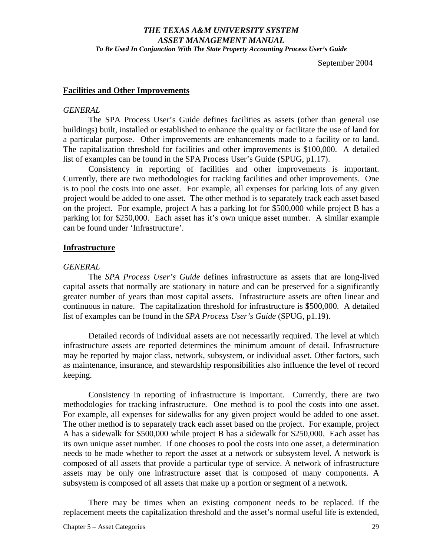*To Be Used In Conjunction With The State Property Accounting Process User's Guide* 

#### **Facilities and Other Improvements**

#### *GENERAL*

The SPA Process User's Guide defines facilities as assets (other than general use buildings) built, installed or established to enhance the quality or facilitate the use of land for a particular purpose. Other improvements are enhancements made to a facility or to land. The capitalization threshold for facilities and other improvements is \$100,000. A detailed list of examples can be found in the SPA Process User's Guide (SPUG, p1.17).

Consistency in reporting of facilities and other improvements is important. Currently, there are two methodologies for tracking facilities and other improvements. One is to pool the costs into one asset. For example, all expenses for parking lots of any given project would be added to one asset. The other method is to separately track each asset based on the project. For example, project A has a parking lot for \$500,000 while project B has a parking lot for \$250,000. Each asset has it's own unique asset number. A similar example can be found under 'Infrastructure'.

#### **Infrastructure**

#### *GENERAL*

The *SPA Process User's Guide* defines infrastructure as assets that are long-lived capital assets that normally are stationary in nature and can be preserved for a significantly greater number of years than most capital assets. Infrastructure assets are often linear and continuous in nature. The capitalization threshold for infrastructure is \$500,000. A detailed list of examples can be found in the *SPA Process User's Guide* (SPUG, p1.19).

Detailed records of individual assets are not necessarily required. The level at which infrastructure assets are reported determines the minimum amount of detail. Infrastructure may be reported by major class, network, subsystem, or individual asset. Other factors, such as maintenance, insurance, and stewardship responsibilities also influence the level of record keeping.

Consistency in reporting of infrastructure is important. Currently, there are two methodologies for tracking infrastructure. One method is to pool the costs into one asset. For example, all expenses for sidewalks for any given project would be added to one asset. The other method is to separately track each asset based on the project. For example, project A has a sidewalk for \$500,000 while project B has a sidewalk for \$250,000. Each asset has its own unique asset number. If one chooses to pool the costs into one asset, a determination needs to be made whether to report the asset at a network or subsystem level. A network is composed of all assets that provide a particular type of service. A network of infrastructure assets may be only one infrastructure asset that is composed of many components. A subsystem is composed of all assets that make up a portion or segment of a network.

There may be times when an existing component needs to be replaced. If the replacement meets the capitalization threshold and the asset's normal useful life is extended,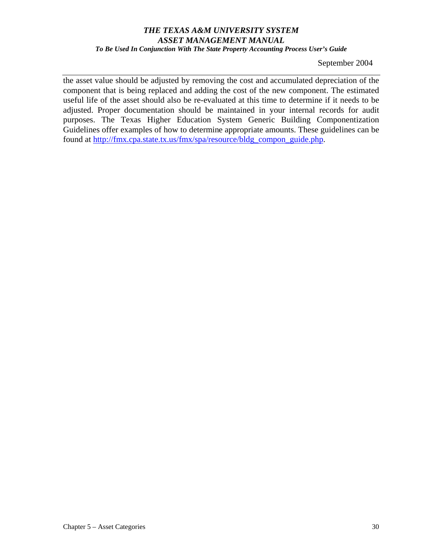*To Be Used In Conjunction With The State Property Accounting Process User's Guide* 

September 2004

the asset value should be adjusted by removing the cost and accumulated depreciation of the component that is being replaced and adding the cost of the new component. The estimated useful life of the asset should also be re-evaluated at this time to determine if it needs to be adjusted. Proper documentation should be maintained in your internal records for audit purposes. The Texas Higher Education System Generic Building Componentization Guidelines offer examples of how to determine appropriate amounts. These guidelines can be found at [http://fmx.cpa.state.tx.us/fmx/spa/resource/bldg\\_compon\\_guide.php.](http://fmx.cpa.state.tx.us/fmx/spa/resource/bldg_compon_guide.php)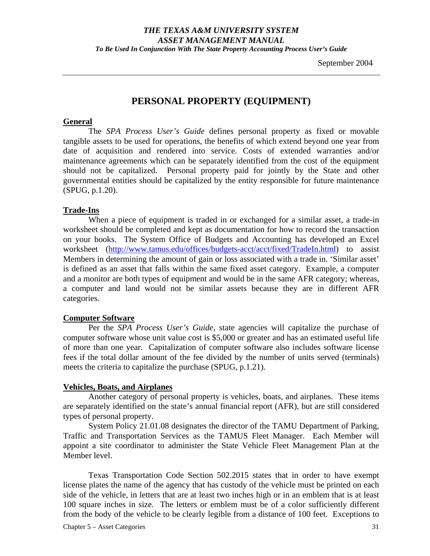*To Be Used In Conjunction With The State Property Accounting Process User's Guide* 

# **PERSONAL PROPERTY (EQUIPMENT)**

#### **General**

 The *SPA Process User's Guide* defines personal property as fixed or movable tangible assets to be used for operations, the benefits of which extend beyond one year from date of acquisition and rendered into service. Costs of extended warranties and/or maintenance agreements which can be separately identified from the cost of the equipment should not be capitalized. Personal property paid for jointly by the State and other governmental entities should be capitalized by the entity responsible for future maintenance (SPUG, p.1.20).

## **Trade-Ins**

When a piece of equipment is traded in or exchanged for a similar asset, a trade-in worksheet should be completed and kept as documentation for how to record the transaction on your books. The System Office of Budgets and Accounting has developed an Excel worksheet [\(http://www.tamus.edu/offices/budgets-acct/acct/fixed/TradeIn.html\)](http://www.tamus.edu/offices/budgets-acct/acct/fixed/TradeIn.html) to assist Members in determining the amount of gain or loss associated with a trade in. 'Similar asset' is defined as an asset that falls within the same fixed asset category. Example, a computer and a monitor are both types of equipment and would be in the same AFR category; whereas, a computer and land would not be similar assets because they are in different AFR categories.

## **Computer Software**

 Per the *SPA Process User's Guide*, state agencies will capitalize the purchase of computer software whose unit value cost is \$5,000 or greater and has an estimated useful life of more than one year. Capitalization of computer software also includes software license fees if the total dollar amount of the fee divided by the number of units served (terminals) meets the criteria to capitalize the purchase (SPUG, p.1.21).

## **Vehicles, Boats, and Airplanes**

Another category of personal property is vehicles, boats, and airplanes. These items are separately identified on the state's annual financial report (AFR), but are still considered types of personal property.

System Policy 21.01.08 designates the director of the TAMU Department of Parking, Traffic and Transportation Services as the TAMUS Fleet Manager. Each Member will appoint a site coordinator to administer the State Vehicle Fleet Management Plan at the Member level.

 Texas Transportation Code Section 502.2015 states that in order to have exempt license plates the name of the agency that has custody of the vehicle must be printed on each side of the vehicle, in letters that are at least two inches high or in an emblem that is at least 100 square inches in size. The letters or emblem must be of a color sufficiently different from the body of the vehicle to be clearly legible from a distance of 100 feet. Exceptions to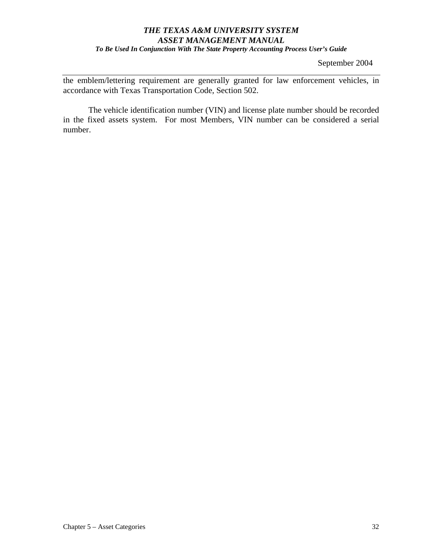*To Be Used In Conjunction With The State Property Accounting Process User's Guide* 

September 2004

the emblem/lettering requirement are generally granted for law enforcement vehicles, in accordance with Texas Transportation Code, Section 502.

 The vehicle identification number (VIN) and license plate number should be recorded in the fixed assets system. For most Members, VIN number can be considered a serial number.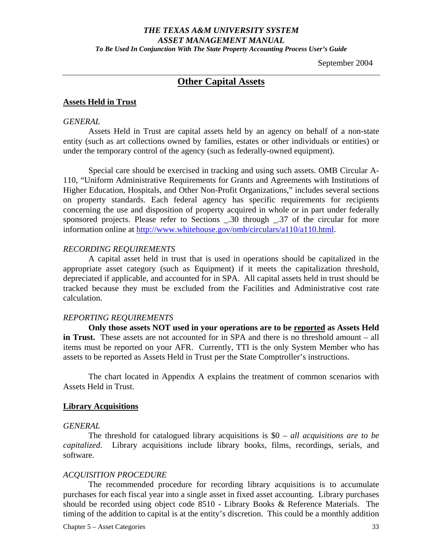*To Be Used In Conjunction With The State Property Accounting Process User's Guide* 

September 2004

## **Other Capital Assets**

#### **Assets Held in Trust**

#### *GENERAL*

Assets Held in Trust are capital assets held by an agency on behalf of a non-state entity (such as art collections owned by families, estates or other individuals or entities) or under the temporary control of the agency (such as federally-owned equipment).

Special care should be exercised in tracking and using such assets. OMB Circular A-110, "Uniform Administrative Requirements for Grants and Agreements with Institutions of Higher Education, Hospitals, and Other Non-Profit Organizations," includes several sections on property standards. Each federal agency has specific requirements for recipients concerning the use and disposition of property acquired in whole or in part under federally sponsored projects. Please refer to Sections \_.30 through \_.37 of the circular for more information online at [http://www.whitehouse.gov/omb/circulars/a110/a110.html.](http://www.whitehouse.gov/omb/circulars/a110/a110.html)

#### *RECORDING REQUIREMENTS*

A capital asset held in trust that is used in operations should be capitalized in the appropriate asset category (such as Equipment) if it meets the capitalization threshold, depreciated if applicable, and accounted for in SPA. All capital assets held in trust should be tracked because they must be excluded from the Facilities and Administrative cost rate calculation.

#### *REPORTING REQUIREMENTS*

**Only those assets NOT used in your operations are to be reported as Assets Held in Trust.** These assets are not accounted for in SPA and there is no threshold amount – all items must be reported on your AFR. Currently, TTI is the only System Member who has assets to be reported as Assets Held in Trust per the State Comptroller's instructions.

The chart located in Appendix A explains the treatment of common scenarios with Assets Held in Trust.

#### **Library Acquisitions**

#### *GENERAL*

The threshold for catalogued library acquisitions is \$0 – *all acquisitions are to be capitalized*. Library acquisitions include library books, films, recordings, serials, and software.

#### *ACQUISITION PROCEDURE*

The recommended procedure for recording library acquisitions is to accumulate purchases for each fiscal year into a single asset in fixed asset accounting. Library purchases should be recorded using object code 8510 - Library Books & Reference Materials. The timing of the addition to capital is at the entity's discretion. This could be a monthly addition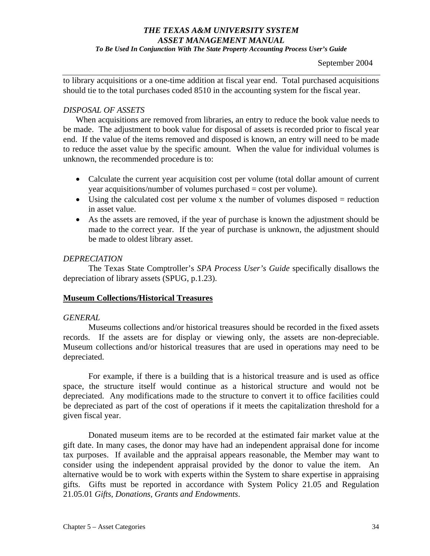#### *To Be Used In Conjunction With The State Property Accounting Process User's Guide*

#### September 2004

to library acquisitions or a one-time addition at fiscal year end. Total purchased acquisitions should tie to the total purchases coded 8510 in the accounting system for the fiscal year.

#### *DISPOSAL OF ASSETS*

When acquisitions are removed from libraries, an entry to reduce the book value needs to be made. The adjustment to book value for disposal of assets is recorded prior to fiscal year end. If the value of the items removed and disposed is known, an entry will need to be made to reduce the asset value by the specific amount. When the value for individual volumes is unknown, the recommended procedure is to:

- Calculate the current year acquisition cost per volume (total dollar amount of current year acquisitions/number of volumes purchased = cost per volume).
- Using the calculated cost per volume x the number of volumes disposed  $=$  reduction in asset value.
- As the assets are removed, if the year of purchase is known the adjustment should be made to the correct year. If the year of purchase is unknown, the adjustment should be made to oldest library asset.

#### *DEPRECIATION*

The Texas State Comptroller's *SPA Process User's Guide* specifically disallows the depreciation of library assets (SPUG, p.1.23).

## **Museum Collections/Historical Treasures**

#### *GENERAL*

Museums collections and/or historical treasures should be recorded in the fixed assets records. If the assets are for display or viewing only, the assets are non-depreciable. Museum collections and/or historical treasures that are used in operations may need to be depreciated.

 For example, if there is a building that is a historical treasure and is used as office space, the structure itself would continue as a historical structure and would not be depreciated. Any modifications made to the structure to convert it to office facilities could be depreciated as part of the cost of operations if it meets the capitalization threshold for a given fiscal year.

 Donated museum items are to be recorded at the estimated fair market value at the gift date. In many cases, the donor may have had an independent appraisal done for income tax purposes. If available and the appraisal appears reasonable, the Member may want to consider using the independent appraisal provided by the donor to value the item. An alternative would be to work with experts within the System to share expertise in appraising gifts. Gifts must be reported in accordance with System Policy 21.05 and Regulation 21.05.01 *Gifts, Donations, Grants and Endowments*.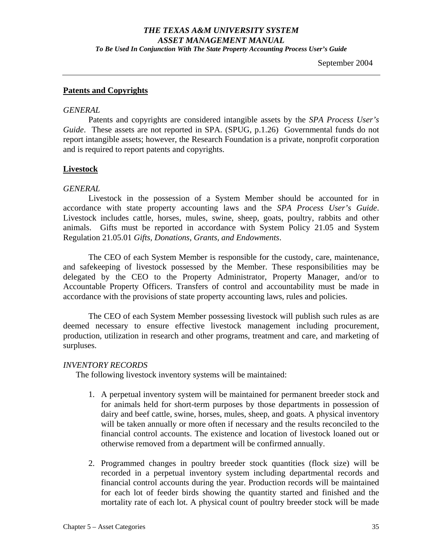*To Be Used In Conjunction With The State Property Accounting Process User's Guide* 

September 2004

#### **Patents and Copyrights**

#### *GENERAL*

Patents and copyrights are considered intangible assets by the *SPA Process User's Guide*. These assets are not reported in SPA. (SPUG, p.1.26) Governmental funds do not report intangible assets; however, the Research Foundation is a private, nonprofit corporation and is required to report patents and copyrights.

#### **Livestock**

#### *GENERAL*

Livestock in the possession of a System Member should be accounted for in accordance with state property accounting laws and the *SPA Process User's Guide*. Livestock includes cattle, horses, mules, swine, sheep, goats, poultry, rabbits and other animals. Gifts must be reported in accordance with System Policy 21.05 and System Regulation 21.05.01 *Gifts, Donations, Grants, and Endowments*.

The CEO of each System Member is responsible for the custody, care, maintenance, and safekeeping of livestock possessed by the Member. These responsibilities may be delegated by the CEO to the Property Administrator, Property Manager, and/or to Accountable Property Officers. Transfers of control and accountability must be made in accordance with the provisions of state property accounting laws, rules and policies.

The CEO of each System Member possessing livestock will publish such rules as are deemed necessary to ensure effective livestock management including procurement, production, utilization in research and other programs, treatment and care, and marketing of surpluses.

#### *INVENTORY RECORDS*

The following livestock inventory systems will be maintained:

- 1. A perpetual inventory system will be maintained for permanent breeder stock and for animals held for short-term purposes by those departments in possession of dairy and beef cattle, swine, horses, mules, sheep, and goats. A physical inventory will be taken annually or more often if necessary and the results reconciled to the financial control accounts. The existence and location of livestock loaned out or otherwise removed from a department will be confirmed annually.
- 2. Programmed changes in poultry breeder stock quantities (flock size) will be recorded in a perpetual inventory system including departmental records and financial control accounts during the year. Production records will be maintained for each lot of feeder birds showing the quantity started and finished and the mortality rate of each lot. A physical count of poultry breeder stock will be made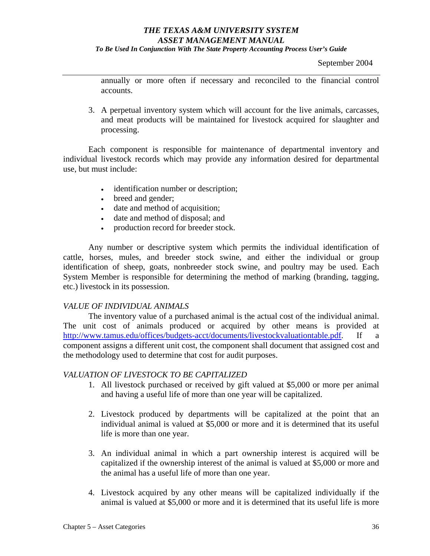*To Be Used In Conjunction With The State Property Accounting Process User's Guide* 

September 2004

annually or more often if necessary and reconciled to the financial control accounts.

3. A perpetual inventory system which will account for the live animals, carcasses, and meat products will be maintained for livestock acquired for slaughter and processing.

Each component is responsible for maintenance of departmental inventory and individual livestock records which may provide any information desired for departmental use, but must include:

- identification number or description;
- breed and gender;
- date and method of acquisition;
- date and method of disposal; and
- production record for breeder stock.

Any number or descriptive system which permits the individual identification of cattle, horses, mules, and breeder stock swine, and either the individual or group identification of sheep, goats, nonbreeder stock swine, and poultry may be used. Each System Member is responsible for determining the method of marking (branding, tagging, etc.) livestock in its possession.

## *VALUE OF INDIVIDUAL ANIMALS*

The inventory value of a purchased animal is the actual cost of the individual animal. The unit cost of animals produced or acquired by other means is provided at <http://www.tamus.edu/offices/budgets-acct/documents/livestockvaluationtable.pdf>. If a component assigns a different unit cost, the component shall document that assigned cost and the methodology used to determine that cost for audit purposes.

## *VALUATION OF LIVESTOCK TO BE CAPITALIZED*

- 1. All livestock purchased or received by gift valued at \$5,000 or more per animal and having a useful life of more than one year will be capitalized.
- 2. Livestock produced by departments will be capitalized at the point that an individual animal is valued at \$5,000 or more and it is determined that its useful life is more than one year.
- 3. An individual animal in which a part ownership interest is acquired will be capitalized if the ownership interest of the animal is valued at \$5,000 or more and the animal has a useful life of more than one year.
- 4. Livestock acquired by any other means will be capitalized individually if the animal is valued at \$5,000 or more and it is determined that its useful life is more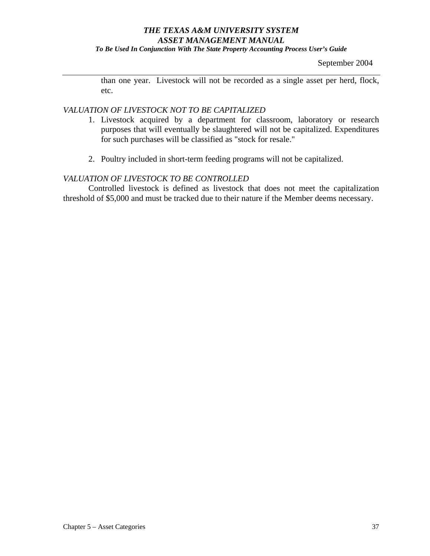*To Be Used In Conjunction With The State Property Accounting Process User's Guide* 

September 2004

than one year. Livestock will not be recorded as a single asset per herd, flock, etc.

## *VALUATION OF LIVESTOCK NOT TO BE CAPITALIZED*

- 1. Livestock acquired by a department for classroom, laboratory or research purposes that will eventually be slaughtered will not be capitalized. Expenditures for such purchases will be classified as "stock for resale."
- 2. Poultry included in short-term feeding programs will not be capitalized.

## *VALUATION OF LIVESTOCK TO BE CONTROLLED*

Controlled livestock is defined as livestock that does not meet the capitalization threshold of \$5,000 and must be tracked due to their nature if the Member deems necessary.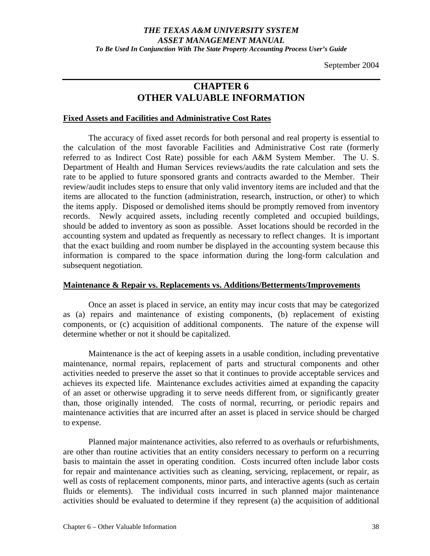## *THE TEXAS A&M UNIVERSITY SYSTEM ASSET MANAGEMENT MANUAL To Be Used In Conjunction With The State Property Accounting Process User's Guide*

September 2004

# **CHAPTER 6 OTHER VALUABLE INFORMATION**

#### **Fixed Assets and Facilities and Administrative Cost Rates**

 The accuracy of fixed asset records for both personal and real property is essential to the calculation of the most favorable Facilities and Administrative Cost rate (formerly referred to as Indirect Cost Rate) possible for each A&M System Member. The U. S. Department of Health and Human Services reviews/audits the rate calculation and sets the rate to be applied to future sponsored grants and contracts awarded to the Member. Their review/audit includes steps to ensure that only valid inventory items are included and that the items are allocated to the function (administration, research, instruction, or other) to which the items apply. Disposed or demolished items should be promptly removed from inventory records. Newly acquired assets, including recently completed and occupied buildings, should be added to inventory as soon as possible. Asset locations should be recorded in the accounting system and updated as frequently as necessary to reflect changes. It is important that the exact building and room number be displayed in the accounting system because this information is compared to the space information during the long-form calculation and subsequent negotiation.

#### **Maintenance & Repair vs. Replacements vs. Additions/Betterments/Improvements**

Once an asset is placed in service, an entity may incur costs that may be categorized as (a) repairs and maintenance of existing components, (b) replacement of existing components, or (c) acquisition of additional components. The nature of the expense will determine whether or not it should be capitalized.

Maintenance is the act of keeping assets in a usable condition, including preventative maintenance, normal repairs, replacement of parts and structural components and other activities needed to preserve the asset so that it continues to provide acceptable services and achieves its expected life. Maintenance excludes activities aimed at expanding the capacity of an asset or otherwise upgrading it to serve needs different from, or significantly greater than, those originally intended. The costs of normal, recurring, or periodic repairs and maintenance activities that are incurred after an asset is placed in service should be charged to expense.

Planned major maintenance activities, also referred to as overhauls or refurbishments, are other than routine activities that an entity considers necessary to perform on a recurring basis to maintain the asset in operating condition. Costs incurred often include labor costs for repair and maintenance activities such as cleaning, servicing, replacement, or repair, as well as costs of replacement components, minor parts, and interactive agents (such as certain fluids or elements). The individual costs incurred in such planned major maintenance activities should be evaluated to determine if they represent (a) the acquisition of additional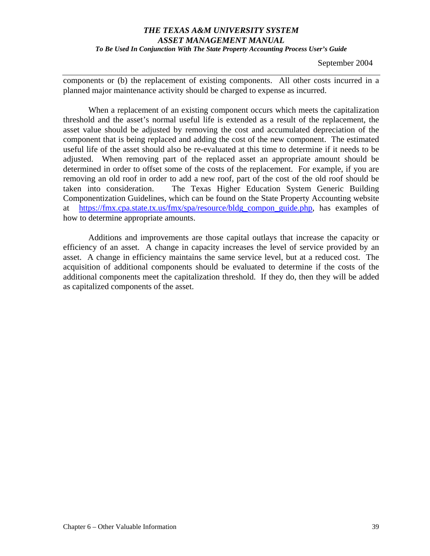*To Be Used In Conjunction With The State Property Accounting Process User's Guide* 

September 2004

components or (b) the replacement of existing components. All other costs incurred in a planned major maintenance activity should be charged to expense as incurred.

 When a replacement of an existing component occurs which meets the capitalization threshold and the asset's normal useful life is extended as a result of the replacement, the asset value should be adjusted by removing the cost and accumulated depreciation of the component that is being replaced and adding the cost of the new component. The estimated useful life of the asset should also be re-evaluated at this time to determine if it needs to be adjusted. When removing part of the replaced asset an appropriate amount should be determined in order to offset some of the costs of the replacement. For example, if you are removing an old roof in order to add a new roof, part of the cost of the old roof should be taken into consideration. The Texas Higher Education System Generic Building Componentization Guidelines, which can be found on the State Property Accounting website at [https://fmx.cpa.state.tx.us/fmx/spa/resource/bldg\\_compon\\_guide.php](https://fmx.cpa.state.tx.us/fmx/spa/resource/bldg_compon_guide.php), has examples of how to determine appropriate amounts.

Additions and improvements are those capital outlays that increase the capacity or efficiency of an asset. A change in capacity increases the level of service provided by an asset. A change in efficiency maintains the same service level, but at a reduced cost. The acquisition of additional components should be evaluated to determine if the costs of the additional components meet the capitalization threshold. If they do, then they will be added as capitalized components of the asset.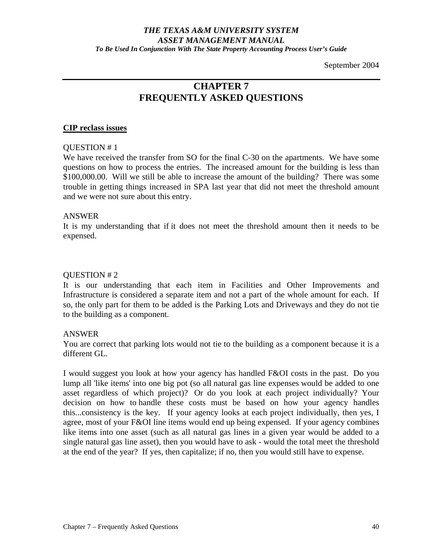*To Be Used In Conjunction With The State Property Accounting Process User's Guide* 

September 2004

# **CHAPTER 7 FREQUENTLY ASKED QUESTIONS**

#### **CIP reclass issues**

#### QUESTION # 1

We have received the transfer from SO for the final C-30 on the apartments. We have some questions on how to process the entries. The increased amount for the building is less than \$100,000.00. Will we still be able to increase the amount of the building? There was some trouble in getting things increased in SPA last year that did not meet the threshold amount and we were not sure about this entry.

#### ANSWER

It is my understanding that if it does not meet the threshold amount then it needs to be expensed.

## QUESTION # 2

It is our understanding that each item in Facilities and Other Improvements and Infrastructure is considered a separate item and not a part of the whole amount for each. If so, the only part for them to be added is the Parking Lots and Driveways and they do not tie to the building as a component.

## ANSWER

You are correct that parking lots would not tie to the building as a component because it is a different GL.

I would suggest you look at how your agency has handled F&OI costs in the past. Do you lump all 'like items' into one big pot (so all natural gas line expenses would be added to one asset regardless of which project)? Or do you look at each project individually? Your decision on how to handle these costs must be based on how your agency handles this...consistency is the key. If your agency looks at each project individually, then yes, I agree, most of your F&OI line items would end up being expensed. If your agency combines like items into one asset (such as all natural gas lines in a given year would be added to a single natural gas line asset), then you would have to ask - would the total meet the threshold at the end of the year? If yes, then capitalize; if no, then you would still have to expense.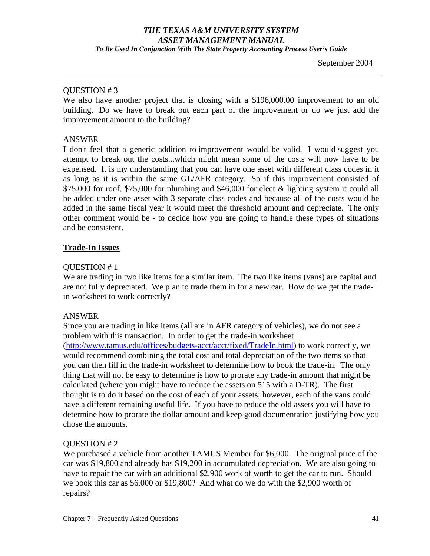*To Be Used In Conjunction With The State Property Accounting Process User's Guide* 

#### QUESTION # 3

We also have another project that is closing with a \$196,000.00 improvement to an old building. Do we have to break out each part of the improvement or do we just add the improvement amount to the building?

## ANSWER

I don't feel that a generic addition to improvement would be valid. I would suggest you attempt to break out the costs...which might mean some of the costs will now have to be expensed. It is my understanding that you can have one asset with different class codes in it as long as it is within the same GL/AFR category. So if this improvement consisted of \$75,000 for roof, \$75,000 for plumbing and \$46,000 for elect & lighting system it could all be added under one asset with 3 separate class codes and because all of the costs would be added in the same fiscal year it would meet the threshold amount and depreciate. The only other comment would be - to decide how you are going to handle these types of situations and be consistent.

## **Trade-In Issues**

## QUESTION # 1

We are trading in two like items for a similar item. The two like items (vans) are capital and are not fully depreciated. We plan to trade them in for a new car. How do we get the tradein worksheet to work correctly?

## ANSWER

Since you are trading in like items (all are in AFR category of vehicles), we do not see a problem with this transaction. In order to get the trade-in worksheet ([http://www.tamus.edu/offices/budgets-acct/acct/fixed/TradeIn.html\)](http://www.tamus.edu/offices/budgets-acct/acct/fixed/TradeIn.html) to work correctly, we would recommend combining the total cost and total depreciation of the two items so that you can then fill in the trade-in worksheet to determine how to book the trade-in. The only thing that will not be easy to determine is how to prorate any trade-in amount that might be calculated (where you might have to reduce the assets on 515 with a D-TR). The first thought is to do it based on the cost of each of your assets; however, each of the vans could have a different remaining useful life. If you have to reduce the old assets you will have to determine how to prorate the dollar amount and keep good documentation justifying how you chose the amounts.

## QUESTION # 2

We purchased a vehicle from another TAMUS Member for \$6,000. The original price of the car was \$19,800 and already has \$19,200 in accumulated depreciation. We are also going to have to repair the car with an additional \$2,900 work of worth to get the car to run. Should we book this car as \$6,000 or \$19,800? And what do we do with the \$2,900 worth of repairs?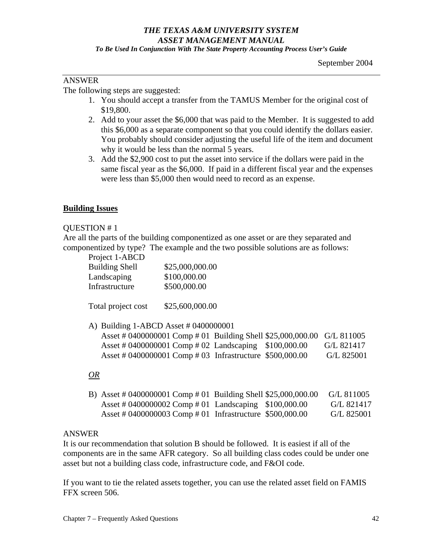*To Be Used In Conjunction With The State Property Accounting Process User's Guide* 

## ANSWER

The following steps are suggested:

- 1. You should accept a transfer from the TAMUS Member for the original cost of \$19,800.
- 2. Add to your asset the \$6,000 that was paid to the Member. It is suggested to add this \$6,000 as a separate component so that you could identify the dollars easier. You probably should consider adjusting the useful life of the item and document why it would be less than the normal 5 years.
- 3. Add the \$2,900 cost to put the asset into service if the dollars were paid in the same fiscal year as the \$6,000. If paid in a different fiscal year and the expenses were less than \$5,000 then would need to record as an expense.

## **Building Issues**

## QUESTION # 1

Are all the parts of the building componentized as one asset or are they separated and componentized by type? The example and the two possible solutions are as follows:

| Project 1-ABCD        |                 |
|-----------------------|-----------------|
| <b>Building Shell</b> | \$25,000,000.00 |
| Landscaping           | \$100,000.00    |
| Infrastructure        | \$500,000.00    |

Total project cost \$25,600,000.00

A) Building 1-ABCD Asset # 0400000001

| Asset # 0400000001 Comp # 01 Building Shell \$25,000,000.00 G/L 811005 |  |            |
|------------------------------------------------------------------------|--|------------|
| Asset # 0400000001 Comp # 02 Landscaping \$100,000.00                  |  | G/L 821417 |
| Asset # 0400000001 Comp # 03 Infrastructure \$500,000.00               |  | G/L 825001 |

## *OR*

| B) Asset # 0400000001 Comp # 01 Building Shell \$25,000,000.00 | G/L 811005 |
|----------------------------------------------------------------|------------|
| Asset # 0400000002 Comp # 01 Landscaping $$100,000.00$         | G/L 821417 |
| Asset # 0400000003 Comp # 01 Infrastructure \$500,000.00       | G/L 825001 |

## ANSWER

It is our recommendation that solution B should be followed. It is easiest if all of the components are in the same AFR category. So all building class codes could be under one asset but not a building class code, infrastructure code, and F&OI code.

If you want to tie the related assets together, you can use the related asset field on FAMIS FFX screen 506.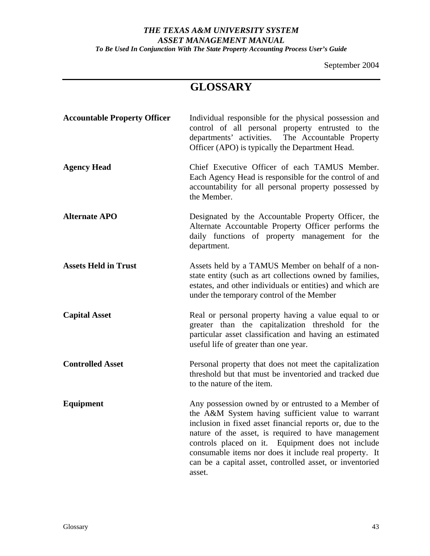*To Be Used In Conjunction With The State Property Accounting Process User's Guide* 

September 2004

# **GLOSSARY**

| <b>Accountable Property Officer</b> | Individual responsible for the physical possession and<br>control of all personal property entrusted to the<br>departments' activities. The Accountable Property<br>Officer (APO) is typically the Department Head.                                                                                                                                                                                               |
|-------------------------------------|-------------------------------------------------------------------------------------------------------------------------------------------------------------------------------------------------------------------------------------------------------------------------------------------------------------------------------------------------------------------------------------------------------------------|
| <b>Agency Head</b>                  | Chief Executive Officer of each TAMUS Member.<br>Each Agency Head is responsible for the control of and<br>accountability for all personal property possessed by<br>the Member.                                                                                                                                                                                                                                   |
| <b>Alternate APO</b>                | Designated by the Accountable Property Officer, the<br>Alternate Accountable Property Officer performs the<br>daily functions of property management for the<br>department.                                                                                                                                                                                                                                       |
| <b>Assets Held in Trust</b>         | Assets held by a TAMUS Member on behalf of a non-<br>state entity (such as art collections owned by families,<br>estates, and other individuals or entities) and which are<br>under the temporary control of the Member                                                                                                                                                                                           |
| <b>Capital Asset</b>                | Real or personal property having a value equal to or<br>greater than the capitalization threshold for the<br>particular asset classification and having an estimated<br>useful life of greater than one year.                                                                                                                                                                                                     |
| <b>Controlled Asset</b>             | Personal property that does not meet the capitalization<br>threshold but that must be inventoried and tracked due<br>to the nature of the item.                                                                                                                                                                                                                                                                   |
| Equipment                           | Any possession owned by or entrusted to a Member of<br>the A&M System having sufficient value to warrant<br>inclusion in fixed asset financial reports or, due to the<br>nature of the asset, is required to have management<br>controls placed on it. Equipment does not include<br>consumable items nor does it include real property. It<br>can be a capital asset, controlled asset, or inventoried<br>asset. |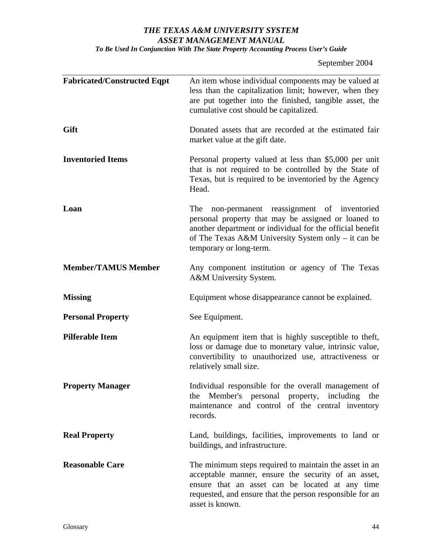*To Be Used In Conjunction With The State Property Accounting Process User's Guide* 

September 2004

| <b>Fabricated/Constructed Eqpt</b> | An item whose individual components may be valued at                                                                                                                                                                                                   |
|------------------------------------|--------------------------------------------------------------------------------------------------------------------------------------------------------------------------------------------------------------------------------------------------------|
|                                    | less than the capitalization limit; however, when they<br>are put together into the finished, tangible asset, the<br>cumulative cost should be capitalized.                                                                                            |
| Gift                               | Donated assets that are recorded at the estimated fair<br>market value at the gift date.                                                                                                                                                               |
| <b>Inventoried Items</b>           | Personal property valued at less than \$5,000 per unit<br>that is not required to be controlled by the State of<br>Texas, but is required to be inventoried by the Agency<br>Head.                                                                     |
| Loan                               | The<br>non-permanent reassignment of inventoried<br>personal property that may be assigned or loaned to<br>another department or individual for the official benefit<br>of The Texas A&M University System only – it can be<br>temporary or long-term. |
| <b>Member/TAMUS Member</b>         | Any component institution or agency of The Texas<br>A&M University System.                                                                                                                                                                             |
| <b>Missing</b>                     | Equipment whose disappearance cannot be explained.                                                                                                                                                                                                     |
| <b>Personal Property</b>           | See Equipment.                                                                                                                                                                                                                                         |
| <b>Pilferable Item</b>             | An equipment item that is highly susceptible to theft,<br>loss or damage due to monetary value, intrinsic value,<br>convertibility to unauthorized use, attractiveness or<br>relatively small size.                                                    |
| <b>Property Manager</b>            | Individual responsible for the overall management of<br>the Member's personal property, including the<br>maintenance and control of the central inventory<br>records.                                                                                  |
| <b>Real Property</b>               | Land, buildings, facilities, improvements to land or<br>buildings, and infrastructure.                                                                                                                                                                 |
| <b>Reasonable Care</b>             | The minimum steps required to maintain the asset in an<br>acceptable manner, ensure the security of an asset,<br>ensure that an asset can be located at any time<br>requested, and ensure that the person responsible for an<br>asset is known.        |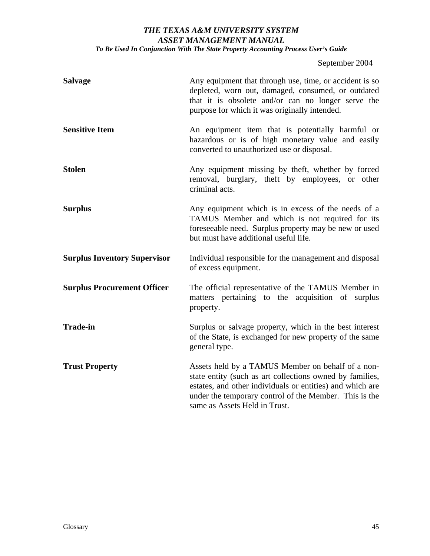*To Be Used In Conjunction With The State Property Accounting Process User's Guide* 

# September 2004

| <b>Salvage</b>                      | Any equipment that through use, time, or accident is so<br>depleted, worn out, damaged, consumed, or outdated<br>that it is obsolete and/or can no longer serve the<br>purpose for which it was originally intended.                                                  |
|-------------------------------------|-----------------------------------------------------------------------------------------------------------------------------------------------------------------------------------------------------------------------------------------------------------------------|
| <b>Sensitive Item</b>               | An equipment item that is potentially harmful or<br>hazardous or is of high monetary value and easily<br>converted to unauthorized use or disposal.                                                                                                                   |
| <b>Stolen</b>                       | Any equipment missing by theft, whether by forced<br>removal, burglary, theft by employees, or other<br>criminal acts.                                                                                                                                                |
| <b>Surplus</b>                      | Any equipment which is in excess of the needs of a<br>TAMUS Member and which is not required for its<br>foreseeable need. Surplus property may be new or used<br>but must have additional useful life.                                                                |
| <b>Surplus Inventory Supervisor</b> | Individual responsible for the management and disposal<br>of excess equipment.                                                                                                                                                                                        |
| <b>Surplus Procurement Officer</b>  | The official representative of the TAMUS Member in<br>matters pertaining to the acquisition of surplus<br>property.                                                                                                                                                   |
| <b>Trade-in</b>                     | Surplus or salvage property, which in the best interest<br>of the State, is exchanged for new property of the same<br>general type.                                                                                                                                   |
| <b>Trust Property</b>               | Assets held by a TAMUS Member on behalf of a non-<br>state entity (such as art collections owned by families,<br>estates, and other individuals or entities) and which are<br>under the temporary control of the Member. This is the<br>same as Assets Held in Trust. |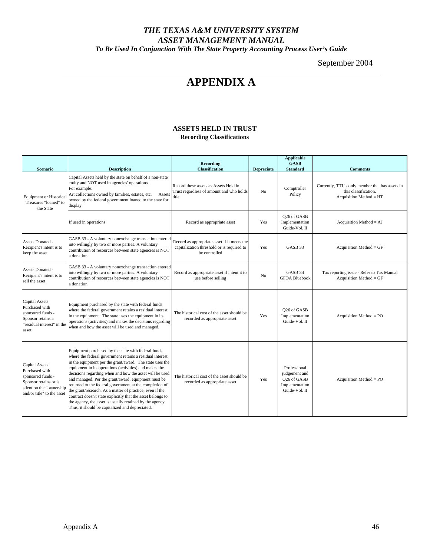*To Be Used In Conjunction With The State Property Accounting Process User's Guide* 

September 2004

# **APPENDIX A**

#### **ASSETS HELD IN TRUST Recording Classifications**

| <b>Scenario</b>                                                                                                                          | <b>Description</b>                                                                                                                                                                                                                                                                                                                                                                                                                                                                                                                                                                                                                                           | Recording<br><b>Classification</b>                                                                         | <b>Depreciate</b> | <b>Applicable</b><br><b>GASB</b><br><b>Standard</b>                             | <b>Comments</b>                                                                                     |
|------------------------------------------------------------------------------------------------------------------------------------------|--------------------------------------------------------------------------------------------------------------------------------------------------------------------------------------------------------------------------------------------------------------------------------------------------------------------------------------------------------------------------------------------------------------------------------------------------------------------------------------------------------------------------------------------------------------------------------------------------------------------------------------------------------------|------------------------------------------------------------------------------------------------------------|-------------------|---------------------------------------------------------------------------------|-----------------------------------------------------------------------------------------------------|
| <b>Equipment or Historical</b><br>Treasures "loaned" to<br>the State                                                                     | Capital Assets held by the state on behalf of a non-state<br>entity and NOT used in agencies' operations.<br>For example:<br>Art collections owned by families, estates, etc.<br>Assets<br>owned by the federal government loaned to the state for<br>display                                                                                                                                                                                                                                                                                                                                                                                                | Record these assets as Assets Held in<br>Trust regardless of amount and who holds<br>title                 | No                | Comptroller<br>Policy                                                           | Currently, TTI is only member that has assets in<br>this classification.<br>Acquisition Method = HT |
|                                                                                                                                          | If used in operations                                                                                                                                                                                                                                                                                                                                                                                                                                                                                                                                                                                                                                        | Record as appropriate asset                                                                                | Yes               | O <sub>26</sub> of GASB<br>Implementation<br>Guide-Vol. II                      | Acquisition Method = $AJ$                                                                           |
| <b>Assets Donated -</b><br>Recipient's intent is to<br>keep the asset                                                                    | GASB 33 - A voluntary nonexchange transaction entered<br>into willingly by two or more parties. A voluntary<br>contribution of resources between state agencies is NOT<br>a donation.                                                                                                                                                                                                                                                                                                                                                                                                                                                                        | Record as appropriate asset if it meets the<br>capitalization threshold or is required to<br>be controlled | <b>Yes</b>        | GASB <sub>33</sub>                                                              | Acquisition Method = $GF$                                                                           |
| Assets Donated -<br>Recipient's intent is to<br>sell the asset                                                                           | GASB 33 - A voluntary nonexchange transaction entered<br>into willingly by two or more parties. A voluntary<br>contribution of resources between state agencies is NOT<br>a donation.                                                                                                                                                                                                                                                                                                                                                                                                                                                                        | Record as appropriate asset if intent it to<br>use before selling                                          | N <sub>o</sub>    | GASB 34<br><b>GFOA Bluebook</b>                                                 | Tax reporting issue - Refer to Tax Manual<br>Acquisition Method = $GF$                              |
| Capital Assets<br>Purchased with<br>sponsored funds -<br>Sponsor retains a<br>'residual interest" in the<br>asset                        | Equipment purchased by the state with federal funds<br>where the federal government retains a residual interest<br>in the equipment. The state uses the equipment in its<br>operations (activities) and makes the decisions regarding<br>when and how the asset will be used and managed.                                                                                                                                                                                                                                                                                                                                                                    | The historical cost of the asset should be<br>recorded as appropriate asset                                | Yes               | O <sub>26</sub> of GASB<br>Implementation<br>Guide-Vol. II                      | Acquisition Method = $PO$                                                                           |
| Capital Assets<br>Purchased with<br>sponsored funds -<br>Sponsor retains or is<br>silent on the "ownership<br>and/or title" to the asset | Equipment purchased by the state with federal funds<br>where the federal government retains a residual interest<br>in the equipment per the grant/award. The state uses the<br>equipment in its operations (activities) and makes the<br>decisions regarding when and how the asset will be used<br>and managed. Per the grant/award, equipment must be<br>returned to the federal government at the completion of<br>the grant/research. As a matter of practice, even if the<br>contract doesn't state explicitly that the asset belongs to<br>the agency, the asset is usually retained by the agency.<br>Thus, it should be capitalized and depreciated. | The historical cost of the asset should be<br>recorded as appropriate asset                                | Yes               | Professional<br>judgement and<br>Q26 of GASB<br>Implementation<br>Guide-Vol. II | Acquisition Method = $PO$                                                                           |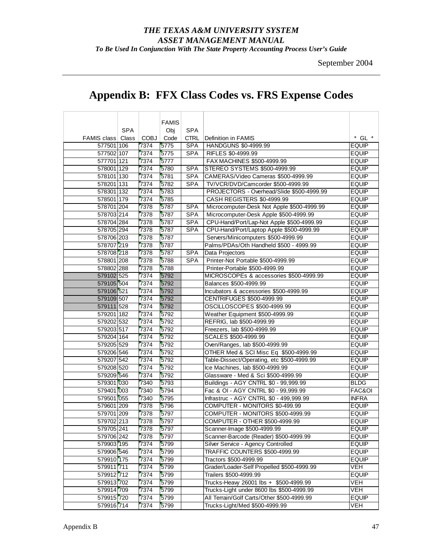*To Be Used In Conjunction With The State Property Accounting Process User's Guide* 

# **Appendix B: FFX Class Codes vs. FRS Expense Codes**

|                          |            |             | <b>FAMIS</b> |             |                                            |              |
|--------------------------|------------|-------------|--------------|-------------|--------------------------------------------|--------------|
|                          | <b>SPA</b> |             | Obj          | <b>SPA</b>  |                                            |              |
| <b>FAMIS class Class</b> |            | <b>COBJ</b> | Code         | <b>CTRL</b> | Definition in FAMIS                        | $*$ GL $*$   |
| 577501 106               |            | 7374        | 5775         | <b>SPA</b>  | HANDGUNS \$0-4999.99                       | <b>EQUIP</b> |
| 577502 107               |            | 7374        | 5775         | <b>SPA</b>  | RIFLES \$0-4999.99                         | <b>EQUIP</b> |
| 577701 121               |            | 7374        | 5777         |             | FAX MACHINES \$500-4999.99                 | <b>EQUIP</b> |
| 578001 129               |            | 7374        | 5780         | <b>SPA</b>  | STEREO SYSTEMS \$500-4999.99               | <b>EQUIP</b> |
| 578101 130               |            | 7374        | 5781         | <b>SPA</b>  | CAMERAS/Video Cameras \$500-4999.99        | <b>EQUIP</b> |
| 578201 131               |            | 7374        | 5782         | <b>SPA</b>  | TV/VCR/DVD/Camcorder \$500-4999.99         | <b>EQUIP</b> |
| 578301 132               |            | 7374        | 5783         |             | PROJECTORS - Overhead/Slide \$500-4999.99  | <b>EQUIP</b> |
| 578501 179               |            | 7374        | 5785         |             | CASH REGISTERS \$0-4999.99                 | <b>EQUIP</b> |
| 578701 204               |            | 7378        | 5787         | <b>SPA</b>  | Microcomputer-Desk Not Apple \$500-4999.99 | <b>EQUIP</b> |
| 578703 214               |            | 7378        | 5787         | <b>SPA</b>  | Microcomputer-Desk Apple \$500-4999.99     | <b>EQUIP</b> |
| 578704 284               |            | 7378        | 5787         | <b>SPA</b>  | CPU-Hand/Port/Lap-Not Apple \$500-4999.99  | <b>EQUIP</b> |
| 578705 294               |            | 7378        | 5787         | <b>SPA</b>  | CPU-Hand/Port/Laptop Apple \$500-4999.99   | <b>EQUIP</b> |
| 578706 203               |            | 7378        | 5787         |             | Servers/Minicomputers \$500-4999.99        | <b>EQUIP</b> |
| 578707 219               |            | 7378        | 5787         |             | Palms/PDAs/Oth Handheld \$500 - 4999.99    | <b>EQUIP</b> |
| 578708 218               |            | 7378        | 5787         | <b>SPA</b>  | Data Projectors                            | <b>EQUIP</b> |
| 578801 208               |            | 7378        | 5788         | <b>SPA</b>  | Printer-Not Portable \$500-4999.99         | <b>EQUIP</b> |
| 578802 288               |            | 7378        | 5788         |             | Printer-Portable \$500-4999.99             | <b>EQUIP</b> |
| 579102 525               |            | 7374        | 5792         |             | MICROSCOPEs & accessories \$500-4999.99    | <b>EQUIP</b> |
| 579105 504               |            | 7374        | 5792         |             | Balances \$500-4999.99                     | <b>EQUIP</b> |
| 579106 521               |            | 7374        | 5792         |             | Incubators & accessories \$500-4999.99     | <b>EQUIP</b> |
| 579109 507               |            | 7374        | 5792         |             | CENTRIFUGES \$500-4999.99                  | <b>EQUIP</b> |
| 579111 528               |            | 7374        | 5792         |             | OSCILLOSCOPES \$500-4999.99                | <b>EQUIP</b> |
| 579201 182               |            | 7374        | 5792         |             | Weather Equipment \$500-4999.99            | <b>EQUIP</b> |
| 579202 532               |            | 7374        | 5792         |             | REFRIG, lab \$500-4999.99                  | <b>EQUIP</b> |
| 579203 517               |            | 7374        | 5792         |             | Freezers, lab \$500-4999.99                | <b>EQUIP</b> |
| 579204 164               |            | 7374        | 5792         |             | SCALES \$500-4999.99                       | <b>EQUIP</b> |
| 579205 529               |            | 7374        | 5792         |             | Oven/Ranges, lab \$500-4999.99             | <b>EQUIP</b> |
| 579206 546               |            | 7374        | 5792         |             | OTHER Med & SCI Misc Eq \$500-4999.99      | <b>EQUIP</b> |
| 579207 542               |            | 7374        | 5792         |             | Table-Dissect/Operating, etc \$500-4999.99 | <b>EQUIP</b> |
| 579208 520               |            | 7374        | 5792         |             | Ice Machines, lab \$500-4999.99            | <b>EQUIP</b> |
| 579209 546               |            | 7374        | 5792         |             | Glassware - Med & Sci \$500-4999.99        | <b>EQUIP</b> |
| 579301 030               |            | 7340        | 5793         |             | Buildings - AGY CNTRL \$0 - 99,999.99      | <b>BLDG</b>  |
| 579401 003               |            | 7340        | 5794         |             | Fac & OI - AGY CNTRL \$0 - 99,999.99       | FAC&OI       |
| 579501 055               |            | 7340        | 5795         |             | Infrastruc - AGY CNTRL \$0 - 499,999.99    | <b>INFRA</b> |
| 579601 209               |            | 7378        | 5796         |             | COMPUTER - MONITORS \$0-499.99             | <b>EQUIP</b> |
| 579701 209               |            | 7378        | 5797         |             | COMPUTER - MONITORS \$500-4999.99          | <b>EQUIP</b> |
| 579702 213               |            | 7378        | 5797         |             | COMPUTER - OTHER \$500-4999.99             | <b>EQUIP</b> |
| 579705 241               |            | 7378        | 9797         |             | Scanner-Image \$500-4999.99                | <b>EQUIP</b> |
| 579706 242               |            | 7378        | 5797         |             | Scanner-Barcode (Reader) \$500-4999.99     | <b>EQUIP</b> |
| 579903 195               |            | 7374        | 5799         |             | Silver Service - Agency Controlled         | <b>EQUIP</b> |
| 579906 546               |            | 7374        | 5799         |             | TRAFFIC COUNTERS \$500-4999.99             | <b>EQUIP</b> |
| 579910 175               |            | 7374        | 5799         |             | Tractors \$500-4999.99                     | <b>EQUIP</b> |
| 579911 711               |            | 7374        | 5799         |             | Grader/Loader-Self Propelled \$500-4999.99 | VEH          |
| 579912 712               |            | 7374        | 5799         |             | Trailers \$500-4999.99                     | <b>EQUIP</b> |
| 579913 702               |            | 7374        | 5799         |             | Trucks-Heavy 26001 lbs + \$500-4999.99     | VEH          |
| 579914 709               |            | 7374        | 5799         |             | Trucks-Light under 8600 lbs \$500-4999.99  | VEH          |
| 579915 720               |            | 7374        | 5799         |             | All Terrain/Golf Carts/Other \$500-4999.99 | <b>EQUIP</b> |
| 579916 714               |            | 7374        | 5799         |             | Trucks-Light/Med \$500-4999.99             | VEH          |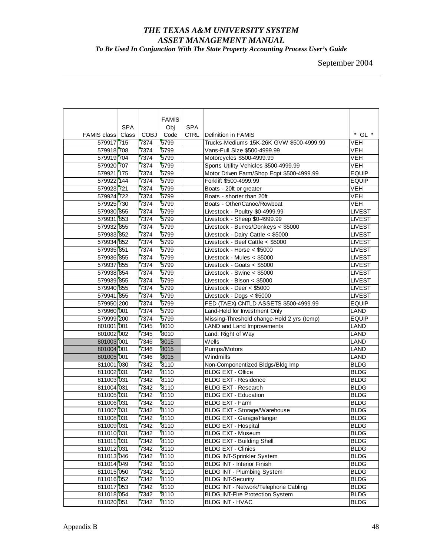|                          |            |      | <b>FAMIS</b> |             |                                            |               |
|--------------------------|------------|------|--------------|-------------|--------------------------------------------|---------------|
|                          | <b>SPA</b> |      | Obj          | <b>SPA</b>  |                                            |               |
| <b>FAMIS class Class</b> |            | COBJ | Code         | <b>CTRL</b> | Definition in FAMIS                        | $*$ GL $*$    |
| 579917 715               |            | 7374 | 5799         |             | Trucks-Mediums 15K-26K GVW \$500-4999.99   | <b>VEH</b>    |
| 579918 708               |            | 7374 | 5799         |             | Vans-Full Size \$500-4999.99               | <b>VEH</b>    |
| 579919 704               |            | 7374 | 5799         |             | Motorcycles \$500-4999.99                  | VEH           |
| 579920 707               |            | 7374 | 5799         |             | Sports Utility Vehicles \$500-4999.99      | <b>VEH</b>    |
| 579921 175               |            | 7374 | 5799         |             | Motor Driven Farm/Shop Eqpt \$500-4999.99  | <b>EQUIP</b>  |
| 579922 144               |            | 7374 | 5799         |             | Forklift \$500-4999.99                     | <b>EQUIP</b>  |
| 579923 721               |            | 7374 | 5799         |             | Boats - 20ft or greater                    | <b>VEH</b>    |
| 579924 722               |            | 7374 | 5799         |             | Boats - shorter than 20ft                  | <b>VEH</b>    |
| 579925 730               |            | 7374 | 5799         |             | Boats - Other/Canoe/Rowboat                | <b>VEH</b>    |
| 579930 855               |            | 7374 | 5799         |             | Livestock - Poultry \$0-4999.99            | <b>LIVEST</b> |
| 579931 853               |            | 7374 | 5799         |             | Livestock - Sheep \$0-4999.99              | <b>LIVEST</b> |
| 579932 855               |            | 7374 | 5799         |             | Livestock - Burros/Donkeys < \$5000        | <b>LIVEST</b> |
| 579933 852               |            | 7374 | 5799         |             | Livestock - Dairy Cattle < \$5000          | <b>LIVEST</b> |
| 579934 852               |            | 7374 | 5799         |             | Livestock - Beef Cattle < \$5000           | <b>LIVEST</b> |
| 579935 851               |            | 7374 | 5799         |             | Livestock - Horse < \$5000                 | <b>LIVEST</b> |
| 579936 855               |            | 7374 | 5799         |             | Livestock - Mules < \$5000                 | <b>LIVEST</b> |
| 579937 855               |            | 7374 | 5799         |             | Livestock - Goats < \$5000                 | <b>LIVEST</b> |
| 579938 854               |            | 7374 | 5799         |             | Livestock - Swine < \$5000                 | <b>LIVEST</b> |
| 579939 855               |            | 7374 | 5799         |             | Livestock - Bison < \$5000                 | <b>LIVEST</b> |
| 579940 855               |            | 7374 | 5799         |             | Livestock - Deer < \$5000                  | <b>LIVEST</b> |
| 579941 855               |            | 7374 | 5799         |             | Livestock - Dogs < \$5000                  | <b>LIVEST</b> |
| 579950 200               |            | 7374 | 5799         |             | FED (TAEX) CNTLD ASSETS \$500-4999.99      | <b>EQUIP</b>  |
| 579960 001               |            | 7374 | 5799         |             | Land-Held for Investment Only              | LAND          |
| 579999 200               |            | 7374 | 5799         |             | Missing-Threshold change-Hold 2 yrs (temp) | <b>EQUIP</b>  |
| 801001 001               |            | 7345 | 8010         |             | <b>LAND</b> and Land Improvements          | <b>LAND</b>   |
| 801002 002               |            | 7345 | 8010         |             | Land: Right of Way                         | <b>LAND</b>   |
| 801003 001               |            | 7346 | 8015         |             | Wells                                      | LAND          |
| 801004 001               |            | 7346 | 8015         |             | Pumps/Motors                               | <b>LAND</b>   |
| 801005 001               |            | 7346 | 8015         |             | Windmills                                  | LAND          |
| 811001 030               |            | 7342 | 8110         |             | Non-Componentized Bldgs/Bldg Imp           | <b>BLDG</b>   |
| 811002 031               |            | 7342 | 8110         |             | <b>BLDG EXT - Office</b>                   | <b>BLDG</b>   |
| 811003 031               |            | 7342 | 8110         |             | <b>BLDG EXT - Residence</b>                | <b>BLDG</b>   |
| 811004 031               |            | 7342 | 8110         |             | <b>BLDG EXT - Research</b>                 | <b>BLDG</b>   |
| 811005 031               |            | 7342 | 8110         |             | <b>BLDG EXT - Education</b>                | <b>BLDG</b>   |
| 811006 031               |            | 7342 | 8110         |             | <b>BLDG EXT - Farm</b>                     | <b>BLDG</b>   |
| 811007 031               |            | 7342 | 8110         |             | <b>BLDG EXT - Storage/Warehouse</b>        | <b>BLDG</b>   |
| 811008 031               |            | 7342 | 8110         |             | <b>BLDG EXT - Garage/Hangar</b>            | <b>BLDG</b>   |
| 8110091031               |            | 7342 | 8110         |             | BLDG EXT - Hospital                        | <b>BLDG</b>   |
| 811010 031               |            | 7342 | 8110         |             | <b>BLDG EXT - Museum</b>                   | <b>BLDG</b>   |
| 811011 031               |            | 7342 | 8110         |             | <b>BLDG EXT - Building Shell</b>           | <b>BLDG</b>   |
| 811012 031               |            | 7342 | 8110         |             | <b>BLDG EXT - Clinics</b>                  | <b>BLDG</b>   |
| 811013 046               |            | 7342 | 8110         |             | <b>BLDG INT-Sprinkler System</b>           | <b>BLDG</b>   |
| 811014 049               |            | 7342 | 8110         |             | <b>BLDG INT - Interior Finish</b>          | <b>BLDG</b>   |
| 811015 050               |            | 7342 | 8110         |             | <b>BLDG INT - Plumbing System</b>          | <b>BLDG</b>   |
| 811016 052               |            | 7342 | 8110         |             | <b>BLDG INT-Security</b>                   | <b>BLDG</b>   |
| 811017 053               |            | 7342 | 8110         |             | BLDG INT - Network/Telephone Cabling       | <b>BLDG</b>   |
| 811018 054               |            | 7342 | 8110         |             | <b>BLDG INT-Fire Protection System</b>     | <b>BLDG</b>   |
| 811020 051               |            | 7342 | 8110         |             | <b>BLDG INT - HVAC</b>                     | <b>BLDG</b>   |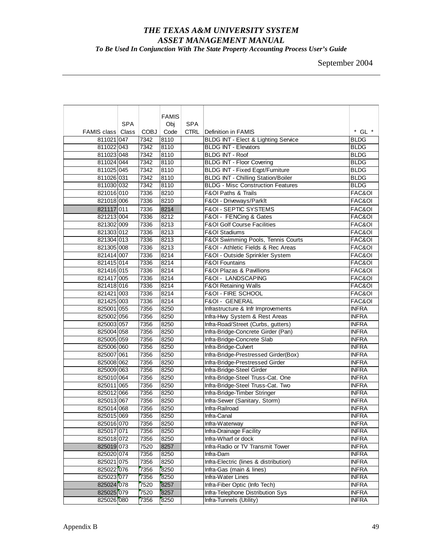|                   |            |              | <b>FAMIS</b> |             |                                                                                |                       |
|-------------------|------------|--------------|--------------|-------------|--------------------------------------------------------------------------------|-----------------------|
|                   | <b>SPA</b> |              | Obj          | <b>SPA</b>  |                                                                                |                       |
| FAMIS class Class |            | <b>COBJ</b>  | Code         | <b>CTRL</b> | Definition in FAMIS                                                            | $*$ GL $*$            |
| 811021 047        |            | 7342         | 8110         |             | <b>BLDG INT - Elect &amp; Lighting Service</b>                                 | <b>BLDG</b>           |
| 811022 043        |            | 7342         | 8110         |             | <b>BLDG INT - Elevators</b>                                                    | <b>BLDG</b>           |
| 811023 048        |            | 7342         | 8110         |             | <b>BLDG INT - Roof</b>                                                         | <b>BLDG</b>           |
| 811024 044        |            | 7342         | 8110         |             | <b>BLDG INT - Floor Covering</b>                                               | <b>BLDG</b>           |
| 811025 045        |            | 7342         | 8110         |             | <b>BLDG INT - Fixed Eqpt/Furniture</b>                                         | <b>BLDG</b>           |
| 811026 031        |            | 7342<br>7342 | 8110<br>8110 |             | <b>BLDG INT - Chilling Station/Boiler</b>                                      | <b>BLDG</b>           |
| 811030 032        |            |              |              |             | <b>BLDG</b> - Misc Construction Features<br><b>F&amp;OI Paths &amp; Trails</b> | <b>BLDG</b><br>FAC&OI |
| 821016 010        |            | 7336         | 8210         |             |                                                                                |                       |
| 821018 006        |            | 7336         | 8210         |             | F&OI - Driveways/Parklt                                                        | FAC&OI                |
| 821117 011        |            | 7336         | 8214         |             | <b>F&amp;OI - SEPTIC SYSTEMS</b>                                               | FAC&OI                |
| 821213 004        |            | 7336         | 8212         |             | F&OI - FENCing & Gates                                                         | FAC&OI                |
| 821302 009        |            | 7336         | 8213         |             | <b>F&amp;OI GoIf Course Facilities</b>                                         | FAC&OI                |
| 821303 012        |            | 7336         | 8213         |             | <b>F&amp;OI Stadiums</b>                                                       | FAC&OI                |
| 821304 013        |            | 7336         | 8213         |             | F&OI Swimming Pools, Tennis Courts                                             | FAC&OI                |
| 821305 008        |            | 7336         | 8213         |             | F&OI - Athletic Fields & Rec Areas                                             | FAC&OI                |
| 821414 007        |            | 7336         | 8214         |             | F&OI - Outside Sprinkler System                                                | FAC&OI                |
| 821415 014        |            | 7336         | 8214         |             | <b>F&amp;OI Fountains</b>                                                      | FAC&OI                |
| 821416 015        |            | 7336         | 8214         |             | F&OI Plazas & Pavillions                                                       | FAC&OI                |
| 821417 005        |            | 7336         | 8214         |             | F&OI - LANDSCAPING                                                             | FAC&OI                |
| 821418 016        |            | 7336         | 8214         |             | <b>F&amp;OI Retaining Walls</b>                                                | FAC&OI                |
| 821421 003        |            | 7336         | 8214         |             | <b>F&amp;OI - FIRE SCHOOL</b>                                                  | FAC&OI                |
| 821425 003        |            | 7336         | 8214         |             | F&OI - GENERAL                                                                 | FAC&OI                |
| 825001 055        |            | 7356         | 8250         |             | Infrastructure & Infr Improvements                                             | <b>INFRA</b>          |
| 825002 056        |            | 7356         | 8250         |             | Infra-Hwy System & Rest Areas                                                  | <b>INFRA</b>          |
| 825003 057        |            | 7356         | 8250         |             | Infra-Road/Street (Curbs, gutters)                                             | <b>INFRA</b>          |
| 825004 058        |            | 7356         | 8250         |             | Infra-Bridge-Concrete Girder (Pan)                                             | <b>INFRA</b>          |
| 825005 059        |            | 7356         | 8250         |             | Infra-Bridge-Concrete Slab                                                     | <b>INFRA</b>          |
| 825006 060        |            | 7356         | 8250         |             | Infra-Bridge-Culvert                                                           | <b>INFRA</b>          |
| 825007 061        |            | 7356         | 8250         |             | Infra-Bridge-Prestressed Girder(Box)                                           | <b>INFRA</b>          |
| 825008 062        |            | 7356         | 8250         |             | Infra-Bridge-Prestressed Girder                                                | <b>INFRA</b>          |
| 825009 063        |            | 7356         | 8250         |             | Infra-Bridge-Steel Girder                                                      | <b>INFRA</b>          |
| 825010 064        |            | 7356         | 8250         |             | Infra-Bridge-Steel Truss-Cat. One                                              | <b>INFRA</b>          |
| 825011 065        |            | 7356         | 8250         |             | Infra-Bridge-Steel Truss-Cat. Two                                              | <b>INFRA</b>          |
| 825012 066        |            | 7356         | 8250         |             | Infra-Bridge-Timber Stringer                                                   | <b>INFRA</b>          |
| 825013 067        |            | 7356         | 8250         |             | Infra-Sewer (Sanitary, Storm)                                                  | <b>INFRA</b>          |
| 825014 068        |            | 7356         | 8250         |             | Infra-Railroad                                                                 | <b>INFRA</b>          |
| 825015 069        |            | 7356         | 8250         |             | Infra-Canal                                                                    | <b>INFRA</b>          |
| 825016 070        |            | 7356         | 8250         |             | Infra-Waterway                                                                 | <b>INFRA</b>          |
| 825017 071        |            | 7356         | 8250         |             | Infra-Drainage Facility                                                        | <b>INFRA</b>          |
| 825018 072        |            | 7356         | 8250         |             | Infra-Wharf or dock                                                            | <b>INFRA</b>          |
| 825019 073        |            | 7520         | 8257         |             | Infra-Radio or TV Transmit Tower                                               | <b>INFRA</b>          |
| 825020 074        |            | 7356         | 8250         |             | Infra-Dam                                                                      | <b>INFRA</b>          |
| 825021 075        |            | 7356         | 8250         |             | Infra-Electric (lines & distribution)                                          | <b>INFRA</b>          |
| 825022 076        |            | 7356         | 8250         |             | Infra-Gas (main & lines)                                                       | <b>INFRA</b>          |
| 825023 077        |            | 7356         | 8250         |             | Infra-Water Lines                                                              | <b>INFRA</b>          |
| 825024 078        |            | 7520         | 8257         |             | Infra-Fiber Optic (Info Tech)                                                  | <b>INFRA</b>          |
| 825025 079        |            | 7520         | 8257         |             | Infra-Telephone Distribution Sys                                               | <b>INFRA</b>          |
| 825026 080        |            | 7356         | 8250         |             | Infra-Tunnels (Utility)                                                        | <b>INFRA</b>          |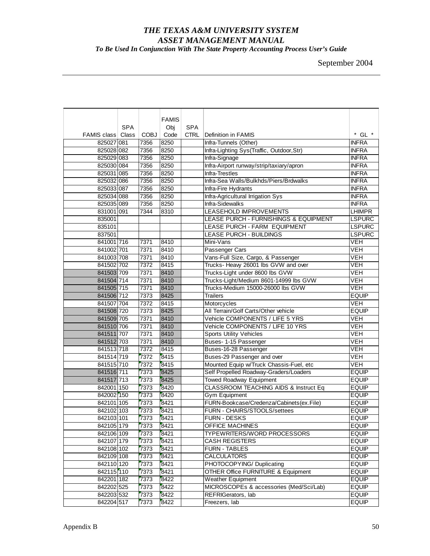|                   |            |              | <b>FAMIS</b> |             |                                                            |                              |
|-------------------|------------|--------------|--------------|-------------|------------------------------------------------------------|------------------------------|
|                   | <b>SPA</b> |              | Obj          | <b>SPA</b>  |                                                            |                              |
| FAMIS class Class |            | <b>COBJ</b>  | Code         | <b>CTRL</b> | Definition in FAMIS                                        | $*$ GL $*$                   |
| 825027 081        |            | 7356         | 8250         |             | Infra-Tunnels (Other)                                      | <b>INFRA</b>                 |
| 825028 082        |            | 7356         | 8250         |             | Infra-Lighting Sys(Traffic, Outdoor, Str)                  | <b>INFRA</b>                 |
| 825029 083        |            | 7356         | 8250         |             | Infra-Signage                                              | <b>INFRA</b>                 |
| 825030 084        |            | 7356         | 8250         |             | Infra-Airport runway/strip/taxiary/apron<br>Infra-Trestles | <b>INFRA</b>                 |
| 825031 085        |            | 7356         | 8250         |             |                                                            | <b>INFRA</b><br><b>INFRA</b> |
| 825032 086        |            | 7356         | 8250         |             | Infra-Sea Walls/Bulkhds/Piers/Brdwalks                     |                              |
| 825033 087        |            | 7356         | 8250         |             | Infra-Fire Hydrants                                        | <b>INFRA</b><br><b>INFRA</b> |
| 825034 088        |            | 7356<br>7356 | 8250         |             | Infra-Agricultural Irrigation Sys                          |                              |
| 825035 089        |            |              | 8250         |             | Infra-Sidewalks                                            | <b>INFRA</b>                 |
| 831001 091        |            | 7344         | 8310         |             | <b>LEASEHOLD IMPROVEMENTS</b>                              | <b>LHIMPR</b>                |
| 835001            |            |              |              |             | LEASE PURCH - FURNISHINGS & EQUIPMENT                      | <b>LSPURC</b>                |
| 835101            |            |              |              |             | LEASE PURCH - FARM EQUIPMENT                               | <b>LSPURC</b>                |
| 837501            |            |              |              |             | LEASE PURCH - BUILDINGS                                    | <b>LSPURC</b>                |
| 841001 716        |            | 7371         | 8410         |             | Mini-Vans                                                  | <b>VEH</b>                   |
| 841002 701        |            | 7371         | 8410         |             | Passenger Cars                                             | <b>VEH</b>                   |
| 841003 708        |            | 7371         | 8410         |             | Vans-Full Size, Cargo, & Passenger                         | <b>VEH</b>                   |
| 841502 702        |            | 7372         | 8415         |             | Trucks- Heavy 26001 lbs GVW and over                       | <b>VEH</b>                   |
| 841503 709        |            | 7371         | 8410         |             | Trucks-Light under 8600 lbs GVW                            | <b>VEH</b>                   |
| 841504 714        |            | 7371         | 8410         |             | Trucks-Light/Medium 8601-14999 lbs GVW                     | VEH                          |
| 841505 715        |            | 7371         | 8410         |             | Trucks-Medium 15000-26000 lbs GVW                          | VEH                          |
| 841506 712        |            | 7373         | 8425         |             | <b>Trailers</b>                                            | <b>EQUIP</b>                 |
| 841507 704        |            | 7372         | 8415         |             | Motorcycles                                                | <b>VEH</b>                   |
| 841508 720        |            | 7373         | 8425         |             | All Terrain/Golf Carts/Other vehicle                       | <b>EQUIP</b>                 |
| 841509 705        |            | 7371         | 8410         |             | Vehicle COMPONENTS / LIFE 5 YRS                            | VEH                          |
| 841510 706        |            | 7371         | 8410         |             | Vehicle COMPONENTS / LIFE 10 YRS                           | <b>VEH</b>                   |
| 841511 707        |            | 7371         | 8410         |             | <b>Sports Utility Vehicles</b>                             | VEH                          |
| 841512 703        |            | 7371         | 8410         |             | Buses- 1-15 Passenger                                      | <b>VEH</b>                   |
| 841513 718        |            | 7372         | 8415         |             | Buses-16-28 Passenger                                      | <b>VEH</b>                   |
| 841514 719        |            | 7372         | 8415         |             | Buses-29 Passenger and over                                | <b>VEH</b>                   |
| 841515 710        |            | 7372         | 8415         |             | Mounted Equip w/Truck Chassis-Fuel, etc                    | VEH                          |
| 841516 711        |            | 7373         | 8425         |             | Self Propelled Roadway-Graders/Loaders                     | <b>EQUIP</b>                 |
| 841517 713        |            | 7373         | 8425         |             | <b>Towed Roadway Equipment</b>                             | <b>EQUIP</b>                 |
| 842001 150        |            | 7373         | 8420         |             | <b>CLASSROOM TEACHING AIDS &amp; Instruct Eq</b>           | <b>EQUIP</b>                 |
| 842002 150        |            | 7373         | 8420         |             | <b>Gym Equipment</b>                                       | <b>EQUIP</b>                 |
| 842101 105        |            | 7373         | 8421         |             | FURN-Bookcase/Credenza/Cabinets(ex.File)                   | <b>EQUIP</b>                 |
| 842102 103        |            | 7373         | 8421         |             | FURN - CHAIRS/STOOLS/settees                               | <b>EQUIP</b>                 |
| 842103 101        |            | 7373         | 8421         |             | <b>FURN - DESKS</b>                                        | <b>EQUIP</b>                 |
| 842105 179        |            | 7373         | 8421         |             | OFFICE MACHINES                                            | EQUIP                        |
| 842106 109        |            | 7373         | 8421         |             | TYPEWRITERS/WORD PROCESSORS                                | <b>EQUIP</b>                 |
| 842107 179        |            | 7373         | 8421         |             | <b>CASH REGISTERS</b>                                      | <b>EQUIP</b>                 |
| 842108 102        |            | 7373         | 8421         |             | <b>FURN - TABLES</b>                                       | <b>EQUIP</b>                 |
| 842109 108        |            | 7373         | 8421         |             | <b>CALCULATORS</b>                                         | <b>EQUIP</b>                 |
| 842110 120        |            | 7373         | 8421         |             | PHOTOCOPYING/ Duplicating                                  | <b>EQUIP</b>                 |
| 842115 110        |            | 7373         | 8421         |             | <b>OTHER Office FURNITURE &amp; Equipment</b>              | <b>EQUIP</b>                 |
| 842201 182        |            | 7373         | 8422         |             | <b>Weather Equipment</b>                                   | <b>EQUIP</b>                 |
| 842202 525        |            | 7373         | 8422         |             | MICROSCOPEs & accessories (Med/Sci/Lab)                    | <b>EQUIP</b>                 |
| 842203 532        |            | 7373         | 8422         |             | REFRIGerators, lab                                         | <b>EQUIP</b>                 |
| 842204 517        |            | 7373         | 8422         |             | Freezers, lab                                              | <b>EQUIP</b>                 |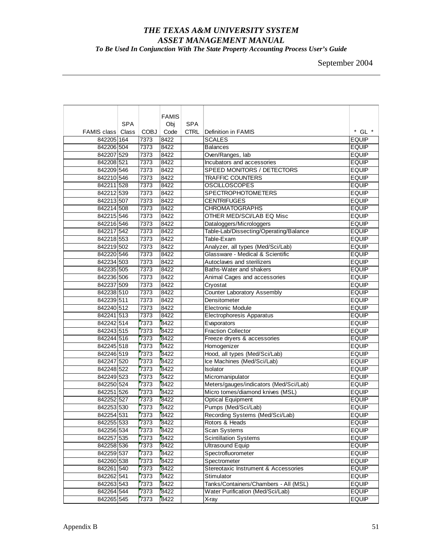|                          |            |             | <b>FAMIS</b> |             |                                        |              |
|--------------------------|------------|-------------|--------------|-------------|----------------------------------------|--------------|
|                          | <b>SPA</b> |             | Obj          | <b>SPA</b>  |                                        |              |
| <b>FAMIS class Class</b> |            | <b>COBJ</b> | Code         | <b>CTRL</b> | Definition in FAMIS                    | $*$ GL $*$   |
| 842205 164               |            | 7373        | 8422         |             | <b>SCALES</b>                          | <b>EQUIP</b> |
| 842206 504               |            | 7373        | 8422         |             | <b>Balances</b>                        | <b>EQUIP</b> |
| 842207 529               |            | 7373        | 8422         |             | Oven/Ranges, lab                       | <b>EQUIP</b> |
| 842208 521               |            | 7373        | 8422         |             | Incubators and accessories             | <b>EQUIP</b> |
| 842209 546               |            | 7373        | 8422         |             | SPEED MONITORS / DETECTORS             | <b>EQUIP</b> |
| 842210 546               |            | 7373        | 8422         |             | <b>TRAFFIC COUNTERS</b>                | <b>EQUIP</b> |
| 842211 528               |            | 7373        | 8422         |             | <b>OSCILLOSCOPES</b>                   | <b>EQUIP</b> |
| 842212 539               |            | 7373        | 8422         |             | <b>SPECTROPHOTOMETERS</b>              | <b>EQUIP</b> |
| 842213 507               |            | 7373        | 8422         |             | <b>CENTRIFUGES</b>                     | <b>EQUIP</b> |
| 842214 508               |            | 7373        | 8422         |             | <b>CHROMATOGRAPHS</b>                  | <b>EQUIP</b> |
| 842215 546               |            | 7373        | 8422         |             | OTHER MED/SCI/LAB EQ Misc              | <b>EQUIP</b> |
| 842216 546               |            | 7373        | 8422         |             | Dataloggers/Microloggers               | <b>EQUIP</b> |
| 842217 542               |            | 7373        | 8422         |             | Table-Lab/Dissecting/Operating/Balance | <b>EQUIP</b> |
| 842218 553               |            | 7373        | 8422         |             | Table-Exam                             | <b>EQUIP</b> |
| 842219 502               |            | 7373        | 8422         |             | Analyzer, all types (Med/Sci/Lab)      | <b>EQUIP</b> |
| 842220 546               |            | 7373        | 8422         |             | Glassware - Medical & Scientific       | <b>EQUIP</b> |
| 842234 503               |            | 7373        | 8422         |             | Autoclaves and sterilizers             | <b>EQUIP</b> |
| 842235 505               |            | 7373        | 8422         |             | Baths-Water and shakers                | <b>EQUIP</b> |
| 842236 506               |            | 7373        | 8422         |             | Animal Cages and accessories           | <b>EQUIP</b> |
| 842237 509               |            | 7373        | 8422         |             | Cryostat                               | <b>EQUIP</b> |
| 842238 510               |            | 7373        | 8422         |             | <b>Counter Laboratory Assembly</b>     | <b>EQUIP</b> |
| 842239 511               |            | 7373        | 8422         |             | Densitometer                           | <b>EQUIP</b> |
| 842240 512               |            | 7373        | 8422         |             | <b>Electronic Module</b>               | <b>EQUIP</b> |
| 842241 513               |            | 7373        | 8422         |             | Electrophoresis Apparatus              | <b>EQUIP</b> |
| 842242 514               |            | 7373        | 8422         |             | Evaporators                            | <b>EQUIP</b> |
| 842243 515               |            | 7373        | 8422         |             | <b>Fraction Collector</b>              | <b>EQUIP</b> |
| 842244 516               |            | 7373        | 8422         |             | Freeze dryers & accessories            | <b>EQUIP</b> |
| 842245 518               |            | 7373        | 8422         |             | Homogenizer                            | <b>EQUIP</b> |
| 842246 519               |            | 7373        | 8422         |             | Hood, all types (Med/Sci/Lab)          | <b>EQUIP</b> |
| 842247 520               |            | 7373        | 8422         |             | Ice Machines (Med/Sci/Lab)             | <b>EQUIP</b> |
| 842248 522               |            | 7373        | 8422         |             | Isolator                               | <b>EQUIP</b> |
| 842249 523               |            | 7373        | 8422         |             | Micromanipulator                       | <b>EQUIP</b> |
| 842250 524               |            | 7373        | 8422         |             | Meters/gauges/indicators (Med/Sci/Lab) | <b>EQUIP</b> |
| 842251 526               |            | 7373        | 8422         |             | Micro tomes/diamond knives (MSL)       | <b>EQUIP</b> |
| 842252 527               |            | 7373        | 8422         |             | <b>Optical Equipment</b>               | <b>EQUIP</b> |
| 842253 530               |            | 7373        | 8422         |             | Pumps (Med/Sci/Lab)                    | <b>EQUIP</b> |
| 842254 531               |            | 7373        | 8422         |             | Recording Systems (Med/Sci/Lab)        | <b>EQUIP</b> |
| 842255 533               |            | 7373        | 8422         |             | Rotors & Heads                         | <b>EQUIP</b> |
| 842256 534               |            | 7373        | 8422         |             | Scan Systems                           | <b>EQUIP</b> |
| 842257 535               |            | 7373        | 8422         |             | <b>Scintillation Systems</b>           | <b>EQUIP</b> |
| 842258 536               |            | 7373        | 8422         |             | <b>Ultrasound Equip</b>                | <b>EQUIP</b> |
| 842259 537               |            | 7373        | 8422         |             | Spectrofluorometer                     | <b>EQUIP</b> |
| 842260 538               |            | 7373        | 8422         |             | Spectrometer                           | <b>EQUIP</b> |
| 842261 540               |            | 7373        | 8422         |             | Stereotaxic Instrument & Accessories   | <b>EQUIP</b> |
| 842262 541               |            | 7373        | 8422         |             | Stimulator                             | <b>EQUIP</b> |
| 842263 543               |            | 7373        | 8422         |             | Tanks/Containers/Chambers - All (MSL)  | <b>EQUIP</b> |
| 842264 544               |            | 7373        | 8422         |             | Water Purification (Med/Sci/Lab)       | <b>EQUIP</b> |
| 842265 545               |            | 7373        | 8422         |             | X-ray                                  | <b>EQUIP</b> |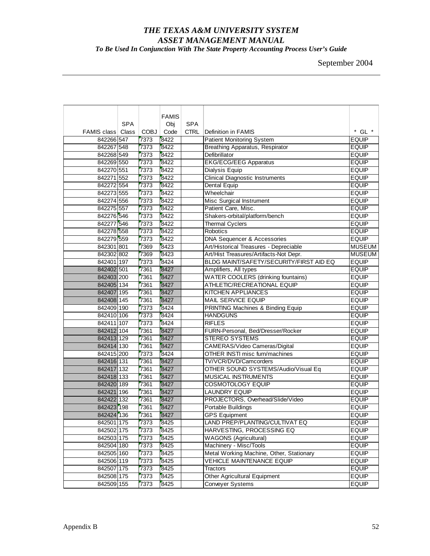|                   |            |      | <b>FAMIS</b> |             |                                              |               |
|-------------------|------------|------|--------------|-------------|----------------------------------------------|---------------|
|                   | <b>SPA</b> |      | Obj          | <b>SPA</b>  |                                              |               |
| FAMIS class Class |            | COBJ | Code         | <b>CTRL</b> | Definition in FAMIS                          | $*$ GL $*$    |
| 842266 547        |            | 7373 | 8422         |             | Patient Monitoring System                    | <b>EQUIP</b>  |
| 842267 548        |            | 7373 | 8422         |             | Breathing Apparatus, Respirator              | <b>EQUIP</b>  |
| 842268 549        |            | 7373 | 8422         |             | Defibrillator                                | <b>EQUIP</b>  |
| 842269 550        |            | 7373 | 8422         |             | <b>EKG/ECG/EEG Apparatus</b>                 | <b>EQUIP</b>  |
| 842270 551        |            | 7373 | 8422         |             | Dialysis Equip                               | <b>EQUIP</b>  |
| 842271 552        |            | 7373 | 8422         |             | <b>Clinical Diagnostic Instruments</b>       | <b>EQUIP</b>  |
| 842272 554        |            | 7373 | 8422         |             | <b>Dental Equip</b>                          | <b>EQUIP</b>  |
| 842273 555        |            | 7373 | 8422         |             | Wheelchair                                   | <b>EQUIP</b>  |
| 842274 556        |            | 7373 | 8422         |             | <b>Misc Surgical Instrument</b>              | <b>EQUIP</b>  |
| 842275 557        |            | 7373 | 8422         |             | Patient Care, Misc.                          | <b>EQUIP</b>  |
| 842276 546        |            | 7373 | 8422         |             | Shakers-orbital/platform/bench               | <b>EQUIP</b>  |
| 842277 546        |            | 7373 | 8422         |             | <b>Thermal Cyclers</b>                       | <b>EQUIP</b>  |
| 842278 558        |            | 7373 | 8422         |             | Robotics                                     | <b>EQUIP</b>  |
| 842279 559        |            | 7373 | 8422         |             | <b>DNA Sequencer &amp; Accessories</b>       | <b>EQUIP</b>  |
| 842301 801        |            | 7369 | 8423         |             | Art/Historical Treasures - Depreciable       | <b>MUSEUM</b> |
| 842302 802        |            | 7369 | 8423         |             | Art/Hist Treasures/Artifacts-Not Depr.       | <b>MUSEUM</b> |
| 842401 197        |            | 7373 | 8424         |             | BLDG MAINT/SAFETY/SECURITY/FIRST AID EQ      | <b>EQUIP</b>  |
| 842402 501        |            | 7361 | 8427         |             | Amplifiers, All types                        | <b>EQUIP</b>  |
| 842403 200        |            | 7361 | 8427         |             | <b>WATER COOLERS (drinking fountains)</b>    | <b>EQUIP</b>  |
| 842405 134        |            | 7361 | 8427         |             | ATHLETIC/RECREATIONAL EQUIP                  | <b>EQUIP</b>  |
| 842407 195        |            | 7361 | 8427         |             | KITCHEN APPLIANCES                           | <b>EQUIP</b>  |
| 842408 145        |            | 7361 | 8427         |             | <b>MAIL SERVICE EQUIP</b>                    | <b>EQUIP</b>  |
| 842409 190        |            | 7373 | 8424         |             | <b>PRINTING Machines &amp; Binding Equip</b> | <b>EQUIP</b>  |
| 842410 106        |            | 7373 | 8424         |             | <b>HANDGUNS</b>                              | <b>EQUIP</b>  |
| 842411 107        |            | 7373 | 8424         |             | <b>RIFLES</b>                                | <b>EQUIP</b>  |
| 842412 104        |            | 7361 | 8427         |             | FURN-Personal, Bed/Dresser/Rocker            | <b>EQUIP</b>  |
| 842413 129        |            | 7361 | 8427         |             | <b>STEREO SYSTEMS</b>                        | <b>EQUIP</b>  |
| 842414 130        |            | 7361 | 8427         |             | CAMERAS/Video Cameras/Digital                | <b>EQUIP</b>  |
| 842415 200        |            | 7373 | 8424         |             | OTHER INSTI misc furn/machines               | <b>EQUIP</b>  |
| 842416 131        |            | 7361 | 8427         |             | TV/VCR/DVD/Camcorders                        | <b>EQUIP</b>  |
| 842417 132        |            | 7361 | 8427         |             | OTHER SOUND SYSTEMS/Audio/Visual Eq          | <b>EQUIP</b>  |
| 842418 133        |            | 7361 | 8427         |             | MUSICAL INSTRUMENTS                          | <b>EQUIP</b>  |
| 842420 189        |            | 7361 | 8427         |             | COSMOTOLOGY EQUIP                            | <b>EQUIP</b>  |
| 842421 196        |            | 7361 | 8427         |             | <b>LAUNDRY EQUIP</b>                         | <b>EQUIP</b>  |
| 842422 132        |            | 7361 | 8427         |             | PROJECTORS, Overhead/Slide/Video             | <b>EQUIP</b>  |
| 842423 198        |            | 7361 | 8427         |             | Portable Buildings                           | <b>EQUIP</b>  |
| 842424 136        |            | 7361 | 8427         |             | <b>GPS</b> Equipment                         | <b>EQUIP</b>  |
| 842501 175        |            | 7373 | 8425         |             | LAND PREP/PLANTING/CULTIVAT EQ               | <b>EQUIP</b>  |
| 842502 175        |            | 7373 | 8425         |             | HARVESTING, PROCESSING EQ                    | <b>EQUIP</b>  |
| 842503 175        |            | 7373 | 8425         |             | <b>WAGONS (Agricultural)</b>                 | <b>EQUIP</b>  |
| 842504 180        |            | 7373 | 8425         |             | Machinery - Misc/Tools                       | <b>EQUIP</b>  |
| 842505 160        |            | 7373 | 8425         |             | Metal Working Machine, Other, Stationary     | <b>EQUIP</b>  |
| 842506 119        |            | 7373 | 8425         |             | VEHICLE MAINTENANCE EQUIP                    | <b>EQUIP</b>  |
| 842507 175        |            | 7373 | 8425         |             | <b>Tractors</b>                              | <b>EQUIP</b>  |
| 842508 175        |            | 7373 | 8425         |             | Other Agricultural Equipment                 | <b>EQUIP</b>  |
| 842509 155        |            | 7373 | 8425         |             | <b>Conveyer Systems</b>                      | <b>EQUIP</b>  |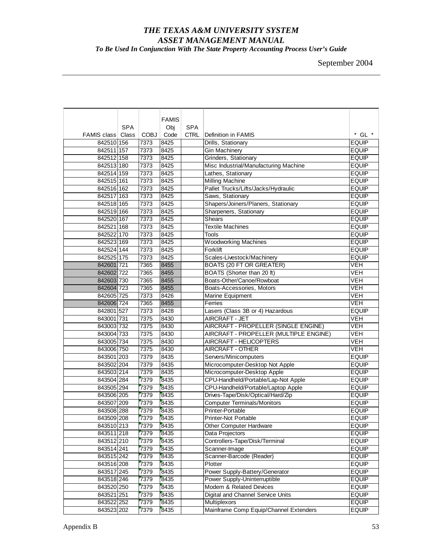|                          |            |              | <b>FAMIS</b> |             |                                                        |              |
|--------------------------|------------|--------------|--------------|-------------|--------------------------------------------------------|--------------|
|                          | <b>SPA</b> |              | Obj          | <b>SPA</b>  |                                                        |              |
| FAMIS class Class        |            | <b>COBJ</b>  | Code         | <b>CTRL</b> | Definition in FAMIS                                    | $*$ GL $*$   |
| 842510 156               |            | 7373         | 8425         |             | Drills, Stationary                                     | <b>EQUIP</b> |
| 842511 157               |            | 7373         | 8425         |             | <b>Gin Machinery</b>                                   | <b>EQUIP</b> |
| 842512 158               |            | 7373         | 8425         |             | Grinders, Stationary                                   | <b>EQUIP</b> |
| 842513 180               |            | 7373         | 8425         |             | Misc Industrial/Manufacturing Machine                  | <b>EQUIP</b> |
| 842514 159               |            | 7373         | 8425         |             | Lathes, Stationary                                     | <b>EQUIP</b> |
| 842515 161               |            | 7373         | 8425         |             | <b>Milling Machine</b>                                 | <b>EQUIP</b> |
| 842516 162               |            | 7373         | 8425         |             | Pallet Trucks/Lifts/Jacks/Hydraulic                    | <b>EQUIP</b> |
| 842517 163               |            | 7373<br>7373 | 8425         |             | Saws, Stationary                                       | <b>EQUIP</b> |
| 842518 165               |            |              | 8425         |             | Shapers/Joiners/Planers, Stationary                    | <b>EQUIP</b> |
| 842519 166               |            | 7373         | 8425         |             | Sharpeners, Stationary                                 | <b>EQUIP</b> |
| 842520 167               |            | 7373         | 8425         |             | <b>Shears</b>                                          | <b>EQUIP</b> |
| 842521 168               |            | 7373         | 8425         |             | <b>Textile Machines</b>                                | <b>EQUIP</b> |
| 842522 170               |            | 7373         | 8425         |             | Tools                                                  | <b>EQUIP</b> |
| 842523 169               |            | 7373         | 8425         |             | <b>Woodworking Machines</b>                            | <b>EQUIP</b> |
| 842524 144               |            | 7373         | 8425         |             | Forklift                                               | <b>EQUIP</b> |
| 842525 175               |            | 7373         | 8425         |             | Scales-Livestock/Machinery                             | <b>EQUIP</b> |
| 842601 721               |            | 7365         | 8455         |             | <b>BOATS (20 FT OR GREATER)</b>                        | <b>VEH</b>   |
| 842602 722               |            | 7365         | 8455         |             | BOATS (Shorter than 20 ft)                             | <b>VEH</b>   |
| 842603 730               |            | 7365         | 8455         |             | Boats-Other/Canoe/Rowboat                              | <b>VEH</b>   |
| 842604 723               |            | 7365         | 8455         |             | Boats-Accessories, Motors                              | <b>VEH</b>   |
| 842605 725               |            | 7373         | 8426         |             | Marine Equipment                                       | <b>VEH</b>   |
| 842606 724               |            | 7365         | 8455         |             | Ferries                                                | <b>VEH</b>   |
| 842801 527               |            | 7373         | 8428         |             | Lasers (Class 3B or 4) Hazardous                       | <b>EQUIP</b> |
| 843001 731               |            | 7375         | 8430         |             | AIRCRAFT - JET                                         | VEH          |
| 843003 732               |            | 7375         | 8430         |             | AIRCRAFT - PROPELLER (SINGLE ENGINE)                   | VEH          |
| 843004 733               |            | 7375         | 8430         |             | AIRCRAFT - PROPELLER (MULTIPLE ENGINE)                 | VEH          |
| 843005 734               |            | 7375         | 8430         |             | AIRCRAFT - HELICOPTERS                                 | <b>VEH</b>   |
| 843006 750               |            | 7375         | 8430         |             | AIRCRAFT - OTHER                                       | <b>VEH</b>   |
| 843501 203               |            | 7379         | 8435         |             | Servers/Minicomputers                                  | <b>EQUIP</b> |
| 843502 204               |            | 7379         | 8435         |             | Microcomputer-Desktop Not Apple                        | <b>EQUIP</b> |
| 843503 214               |            | 7379         | 8435         |             | Microcomputer-Desktop Apple                            | <b>EQUIP</b> |
| 843504 284               |            | 7379         | 8435         |             | CPU-Handheld/Portable/Lap-Not Apple                    | <b>EQUIP</b> |
| 843505 294               |            | 7379         | 8435         |             | CPU-Handheld/Portable/Laptop Apple                     | <b>EQUIP</b> |
| 843506 205               |            | 7379         | 8435         |             | Drives-Tape/Disk/Optical/Hard/Zip                      | <b>EQUIP</b> |
| 843507 209<br>843508 288 |            | 7379         | 8435         |             | <b>Computer Terminals/Monitors</b><br>Printer-Portable | <b>EQUIP</b> |
|                          |            | 7379<br>7379 | 8435<br>8435 |             |                                                        | <b>EQUIP</b> |
| 843509 208               |            |              |              |             | Printer-Not Portable                                   | <b>EQUIP</b> |
| 843510 213               |            | 7379         | 8435         |             | Other Computer Hardware                                | <b>EQUIP</b> |
| 843511 218               |            | 7379         | 8435         |             | Data Projectors                                        | <b>EQUIP</b> |
| 843512 210               |            | 7379         | 8435         |             | Controllers-Tape/Disk/Terminal                         | <b>EQUIP</b> |
| 843514 241               |            | 7379         | 8435         |             | Scanner-Image                                          | <b>EQUIP</b> |
| 843515 242               |            | 7379         | 8435         |             | Scanner-Barcode (Reader)                               | <b>EQUIP</b> |
| 843516 208               |            | 7379         | 8435         |             | Plotter                                                | <b>EQUIP</b> |
| 843517 245               |            | 7379         | 8435         |             | Power Supply-Battery/Generator                         | <b>EQUIP</b> |
| 843518 246               |            | 7379         | 8435         |             | Power Supply-Uninterruptible                           | <b>EQUIP</b> |
| 843520 250               |            | 7379         | 8435         |             | Modem & Related Devices                                | <b>EQUIP</b> |
| 843521 251<br>843522 252 |            | 7379<br>7379 | 8435         |             | Digital and Channel Service Units                      | <b>EQUIP</b> |
|                          |            |              | 8435         |             | Multiplexors                                           | <b>EQUIP</b> |
| 843523 202               |            | 7379         | 8435         |             | Mainframe Comp Equip/Channel Extenders                 | <b>EQUIP</b> |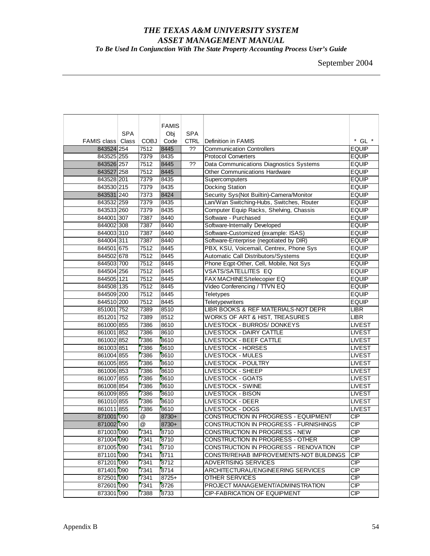|                          |            |                           | <b>FAMIS</b> |                |                                           |                          |
|--------------------------|------------|---------------------------|--------------|----------------|-------------------------------------------|--------------------------|
|                          | <b>SPA</b> |                           | Obj          | <b>SPA</b>     |                                           |                          |
| <b>FAMIS class Class</b> |            | <b>COBJ</b>               | Code         | <b>CTRL</b>    | Definition in FAMIS                       | $*$ GL $*$               |
| 843524 254               |            | 7512                      | 8445         | $\overline{?}$ | <b>Communication Controllers</b>          | <b>EQUIP</b>             |
| 843525 255               |            | 7379                      | 8435         |                | <b>Protocol Converters</b>                | <b>EQUIP</b>             |
| 843526 257               |            | 7512                      | 8445         | ??             | Data Communications Diagnostics Systems   | <b>EQUIP</b>             |
| 843527 258               |            | 7512                      | 8445         |                | <b>Other Communications Hardware</b>      | <b>EQUIP</b>             |
| 843528 201               |            | 7379                      | 8435         |                | Supercomputers                            | <b>EQUIP</b>             |
| 843530 215               |            | 7379                      | 8435         |                | <b>Docking Station</b>                    | <b>EQUIP</b>             |
| 843531 240               |            | 7373                      | 8424         |                | Security Sys(Not Builtin)-Camera/Monitor  | <b>EQUIP</b>             |
| 843532 259               |            | 7379                      | 8435         |                | Lan/Wan Switching-Hubs, Switches, Router  | <b>EQUIP</b>             |
| 843533 260               |            | 7379                      | 8435         |                | Computer Equip Racks, Shelving, Chassis   | <b>EQUIP</b>             |
| 844001 307               |            | 7387                      | 8440         |                | Software - Purchased                      | <b>EQUIP</b>             |
| 844002 308               |            | 7387                      | 8440         |                | Software-Internally Developed             | <b>EQUIP</b>             |
| 844003 310               |            | 7387                      | 8440         |                | Software-Customized (example: ISAS)       | <b>EQUIP</b>             |
| 844004 311               |            | 7387                      | 8440         |                | Software-Enterprise (negotiated by DIR)   | <b>EQUIP</b>             |
| 844501 675               |            | 7512                      | 8445         |                | PBX, KSU, Voicemail, Centrex, Phone Sys   | <b>EQUIP</b>             |
| 844502 678               |            | 7512                      | 8445         |                | Automatic Call Distributors/Systems       | <b>EQUIP</b>             |
| 844503 700               |            | 7512                      | 8445         |                | Phone Eqpt-Other, Cell, Mobile, Not Sys   | <b>EQUIP</b>             |
| 844504 256               |            | 7512                      | 8445         |                | <b>VSATS/SATELLITES EQ</b>                | <b>EQUIP</b>             |
| 844505 121               |            | 7512                      | 8445         |                | FAX MACHINES/telecopier EQ                | <b>EQUIP</b>             |
| 844508 135               |            | 7512                      | 8445         |                | Video Conferencing / TTVN EQ              | <b>EQUIP</b>             |
| 844509 200               |            | 7512                      | 8445         |                | <b>Teletypes</b>                          | <b>EQUIP</b>             |
| 844510 200               |            | 7512                      | 8445         |                | <b>Teletypewriters</b>                    | <b>EQUIP</b>             |
| 851001 752               |            | 7389                      | 8510         |                | LIBR BOOKS & REF MATERIALS-NOT DEPR       | <b>LIBR</b>              |
| 851201 752               |            | 7389                      | 8512         |                | <b>WORKS OF ART &amp; HIST, TREASURES</b> | <b>LIBR</b>              |
| 861000 855               |            | 7386                      | 8610         |                | LIVESTOCK - BURROS/ DONKEYS               | <b>LIVEST</b>            |
| 861001 852               |            | 7386                      | 8610         |                | LIVESTOCK - DAIRY CATTLE                  | <b>LIVEST</b>            |
| 861002 852               |            | 7386                      | 8610         |                | LIVESTOCK - BEEF CATTLE                   | <b>LIVEST</b>            |
| 861003 851               |            | 7386                      | 8610         |                | <b>LIVESTOCK - HORSES</b>                 | <b>LIVEST</b>            |
| 861004 855               |            | 7386                      | 8610         |                | <b>LIVESTOCK - MULES</b>                  | <b>LIVEST</b>            |
| 861005 855               |            | 7386                      | 8610         |                | LIVESTOCK - POULTRY                       | <b>LIVEST</b>            |
| 861006 853               |            | 7386                      | 8610         |                | <b>LIVESTOCK - SHEEP</b>                  | <b>LIVEST</b>            |
| 861007 855               |            | 7386                      | 8610         |                | <b>LIVESTOCK - GOATS</b>                  | <b>LIVEST</b>            |
| 861008 854               |            | 7386                      | 8610         |                | <b>LIVESTOCK - SWINE</b>                  | <b>LIVEST</b>            |
| 861009 855               |            | 7386                      | 8610         |                | LIVESTOCK - BISON                         | <b>LIVEST</b>            |
| 861010 855               |            | 7386                      | 8610         |                | LIVESTOCK - DEER                          | <b>LIVEST</b>            |
| 861011 855               |            | 7386                      | 8610         |                | LIVESTOCK - DOGS                          | <b>LIVEST</b>            |
| 871001 090               |            | $^\text{\textregistered}$ | 8730+        |                | CONSTRUCTION IN PROGRESS - EQUIPMENT      | CIP                      |
| 871002 090               |            | @                         | 8730+        |                | CONSTRUCTION IN PROGRESS - FURNISHINGS    | $\overline{\mathsf{CP}}$ |
| 871003 090               |            | 7341                      | 8710         |                | CONSTRUCTION IN PROGRESS - NEW            | <b>CIP</b>               |
| 871004 090               |            | 7341                      | 8710         |                | CONSTRUCTION IN PROGRESS - OTHER          | CIP                      |
| 871005 090               |            | 7341                      | 8710         |                | CONSTRUCTION IN PROGRESS - RENOVATION     | <b>CIP</b>               |
| 871101 090               |            | 7341                      | 8711         |                | CONSTR/REHAB IMPROVEMENTS-NOT BUILDINGS   | <b>CIP</b>               |
| 871201 090               |            | 7341                      | 8712         |                | <b>ADVERTISING SERVICES</b>               | <b>CIP</b>               |
| 871401 090               |            | 7341                      | 8714         |                | ARCHITECTURAL/ENGINEERING SERVICES        | <b>CIP</b>               |
| 872501 090               |            | 7341                      | 8725+        |                | <b>OTHER SERVICES</b>                     | <b>CIP</b>               |
| 872601 090               |            | 7341                      | 8726         |                | PROJECT MANAGEMENT/ADMINISTRATION         | CIP                      |
| 873301 090               |            | 7388                      | 8733         |                | CIP-FABRICATION OF EQUIPMENT              | CIP                      |